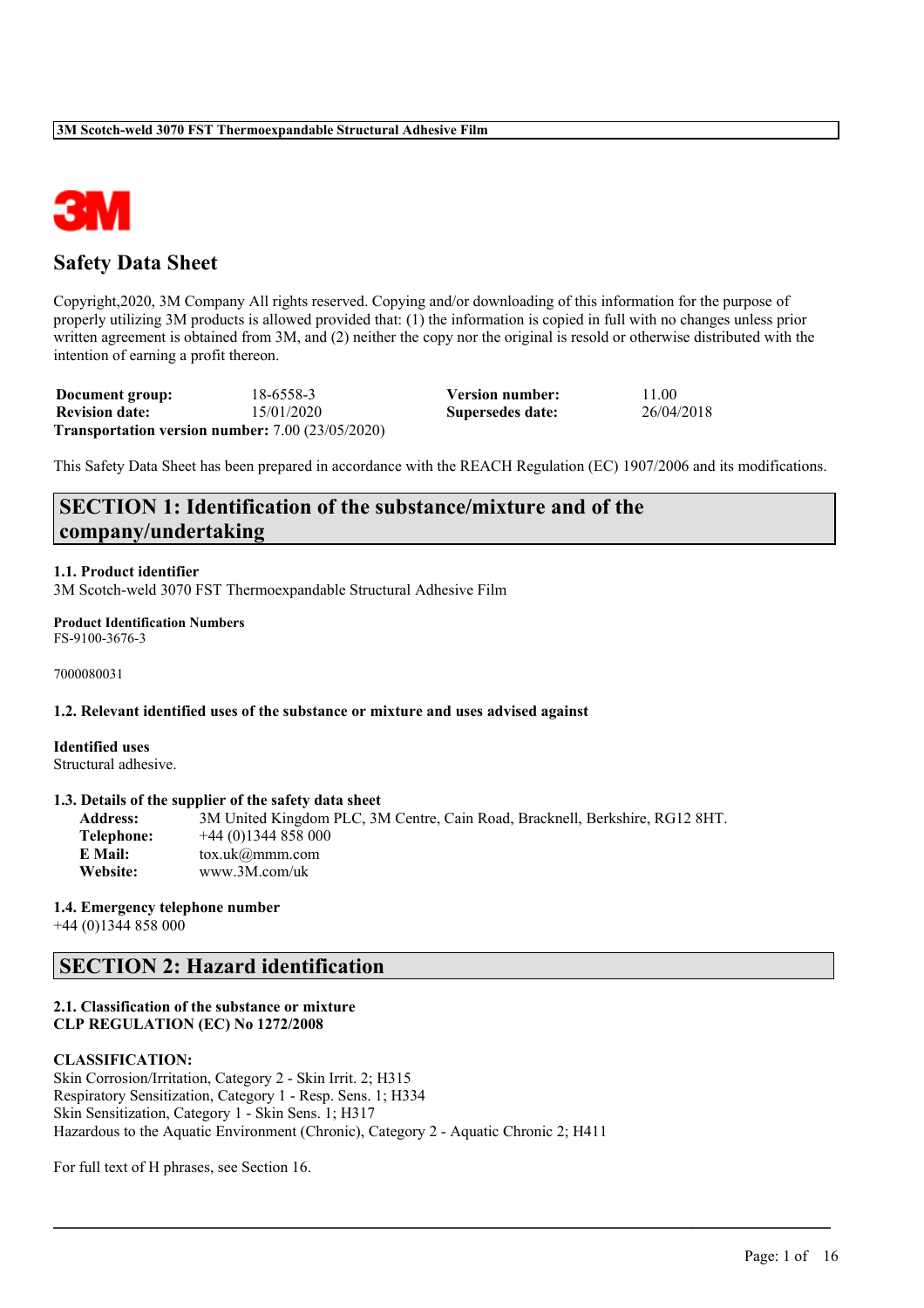

# **Safety Data Sheet**

Copyright,2020, 3M Company All rights reserved. Copying and/or downloading of this information for the purpose of properly utilizing 3M products is allowed provided that: (1) the information is copied in full with no changes unless prior written agreement is obtained from 3M, and (2) neither the copy nor the original is resold or otherwise distributed with the intention of earning a profit thereon.

| Document group:       | 18-6558-3                                                     | Version number:  | 11.00      |
|-----------------------|---------------------------------------------------------------|------------------|------------|
| <b>Revision date:</b> | 15/01/2020                                                    | Supersedes date: | 26/04/2018 |
|                       | <b>Transportation version number:</b> $7.00$ ( $23/05/2020$ ) |                  |            |

This Safety Data Sheet has been prepared in accordance with the REACH Regulation (EC) 1907/2006 and its modifications.

# **SECTION 1: Identification of the substance/mixture and of the company/undertaking**

### **1.1. Product identifier**

3M Scotch-weld 3070 FST Thermoexpandable Structural Adhesive Film

**Product Identification Numbers** FS-9100-3676-3

7000080031

### **1.2. Relevant identified uses of the substance or mixture and uses advised against**

**Identified uses** Structural adhesive.

### **1.3. Details of the supplier of the safety data sheet**

**Address:** 3M United Kingdom PLC, 3M Centre, Cain Road, Bracknell, Berkshire, RG12 8HT. **Telephone:** +44 (0)1344 858 000 **E Mail:** tox.uk@mmm.com **Website:** www.3M.com/uk

 $\mathcal{L}_\mathcal{L} = \mathcal{L}_\mathcal{L} = \mathcal{L}_\mathcal{L} = \mathcal{L}_\mathcal{L} = \mathcal{L}_\mathcal{L} = \mathcal{L}_\mathcal{L} = \mathcal{L}_\mathcal{L} = \mathcal{L}_\mathcal{L} = \mathcal{L}_\mathcal{L} = \mathcal{L}_\mathcal{L} = \mathcal{L}_\mathcal{L} = \mathcal{L}_\mathcal{L} = \mathcal{L}_\mathcal{L} = \mathcal{L}_\mathcal{L} = \mathcal{L}_\mathcal{L} = \mathcal{L}_\mathcal{L} = \mathcal{L}_\mathcal{L}$ 

### **1.4. Emergency telephone number**

+44 (0)1344 858 000

# **SECTION 2: Hazard identification**

### **2.1. Classification of the substance or mixture CLP REGULATION (EC) No 1272/2008**

### **CLASSIFICATION:**

Skin Corrosion/Irritation, Category 2 - Skin Irrit. 2; H315 Respiratory Sensitization, Category 1 - Resp. Sens. 1; H334 Skin Sensitization, Category 1 - Skin Sens. 1; H317 Hazardous to the Aquatic Environment (Chronic), Category 2 - Aquatic Chronic 2; H411

For full text of H phrases, see Section 16.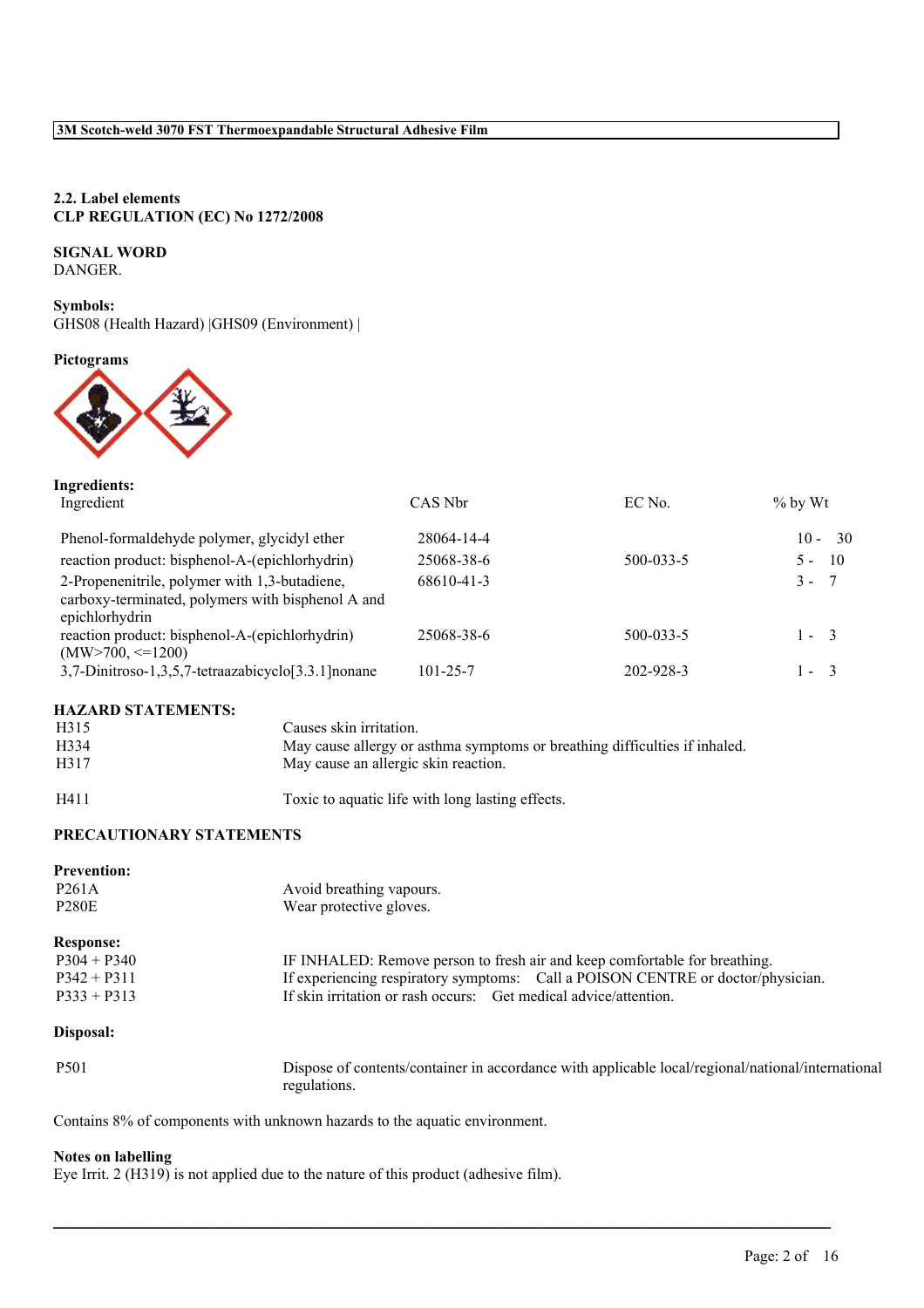### **2.2. Label elements CLP REGULATION (EC) No 1272/2008**

### **SIGNAL WORD**

DANGER.

**Symbols:** GHS08 (Health Hazard) |GHS09 (Environment) |

### **Pictograms**



| Ingredients:<br>Ingredient                                                                                           | CAS Nbr        | EC No.    | $\%$ by Wt               |
|----------------------------------------------------------------------------------------------------------------------|----------------|-----------|--------------------------|
| Phenol-formaldehyde polymer, glycidyl ether                                                                          | 28064-14-4     |           | $10 - 30$                |
| reaction product: bisphenol-A-(epichlorhydrin)                                                                       | 25068-38-6     | 500-033-5 | $\overline{10}$<br>$5 -$ |
| 2-Propenenitrile, polymer with 1,3-butadiene,<br>carboxy-terminated, polymers with bisphenol A and<br>epichlorhydrin | 68610-41-3     |           | $3 -$<br>- 7             |
| reaction product: bisphenol-A-(epichlorhydrin)<br>$(MW>700, \leq 1200)$                                              | 25068-38-6     | 500-033-5 | $1 - 3$                  |
| 3,7-Dinitroso-1,3,5,7-tetraazabicyclo <sup>[3.3.1]</sup> nonane                                                      | $101 - 25 - 7$ | 202-928-3 | $l -$<br>$\mathcal{R}$   |

### **HAZARD STATEMENTS:**

| H315 | Causes skin irritation.                                                    |
|------|----------------------------------------------------------------------------|
| H334 | May cause allergy or asthma symptoms or breathing difficulties if inhaled. |
| H317 | May cause an allergic skin reaction.                                       |
|      |                                                                            |

H411 Toxic to aquatic life with long lasting effects.

# **PRECAUTIONARY STATEMENTS**

| <b>Prevention:</b> |                                                                                                   |
|--------------------|---------------------------------------------------------------------------------------------------|
| P <sub>261</sub> A | Avoid breathing vapours.                                                                          |
| <b>P280E</b>       | Wear protective gloves.                                                                           |
| <b>Response:</b>   |                                                                                                   |
| $P304 + P340$      | IF INHALED: Remove person to fresh air and keep comfortable for breathing.                        |
| $P342 + P311$      | If experiencing respiratory symptoms: Call a POISON CENTRE or doctor/physician.                   |
| $P333 + P313$      | If skin irritation or rash occurs: Get medical advice/attention.                                  |
| Disposal:          |                                                                                                   |
| <b>P501</b>        | Dispose of contents/container in accordance with applicable local/regional/national/international |

 $\mathcal{L}_\mathcal{L} = \mathcal{L}_\mathcal{L} = \mathcal{L}_\mathcal{L} = \mathcal{L}_\mathcal{L} = \mathcal{L}_\mathcal{L} = \mathcal{L}_\mathcal{L} = \mathcal{L}_\mathcal{L} = \mathcal{L}_\mathcal{L} = \mathcal{L}_\mathcal{L} = \mathcal{L}_\mathcal{L} = \mathcal{L}_\mathcal{L} = \mathcal{L}_\mathcal{L} = \mathcal{L}_\mathcal{L} = \mathcal{L}_\mathcal{L} = \mathcal{L}_\mathcal{L} = \mathcal{L}_\mathcal{L} = \mathcal{L}_\mathcal{L}$ 

Contains 8% of components with unknown hazards to the aquatic environment.

regulations.

### **Notes on labelling**

Eye Irrit. 2 (H319) is not applied due to the nature of this product (adhesive film).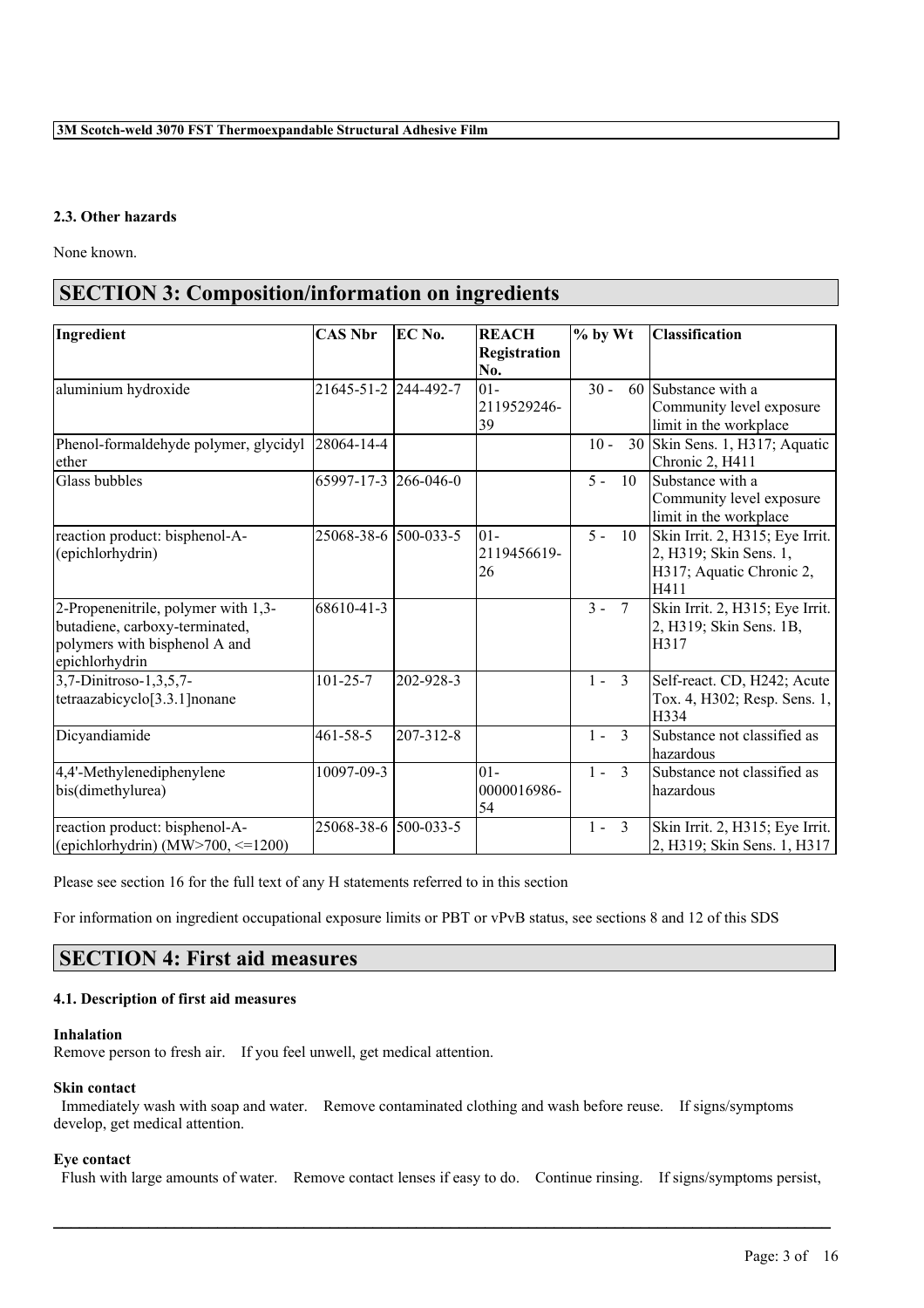### **2.3. Other hazards**

None known.

# **SECTION 3: Composition/information on ingredients**

| Ingredient                                                                                                               | <b>CAS Nbr</b>       | EC No.    | <b>REACH</b><br>Registration | % by Wt                  | <b>Classification</b>                                                                         |
|--------------------------------------------------------------------------------------------------------------------------|----------------------|-----------|------------------------------|--------------------------|-----------------------------------------------------------------------------------------------|
|                                                                                                                          |                      |           | No.                          |                          |                                                                                               |
| aluminium hydroxide                                                                                                      | 21645-51-2 244-492-7 |           | $01 -$<br>2119529246-<br>39  | $30 -$                   | 60 Substance with a<br>Community level exposure<br>limit in the workplace                     |
| Phenol-formaldehyde polymer, glycidyl 28064-14-4<br>ether                                                                |                      |           |                              | $10 -$                   | 30 Skin Sens. 1, H317; Aquatic<br>Chronic 2, H411                                             |
| Glass bubbles                                                                                                            | 65997-17-3           | 266-046-0 |                              | $5 -$<br>10              | Substance with a<br>Community level exposure<br>limit in the workplace                        |
| reaction product: bisphenol-A-<br>(epichlorhydrin)                                                                       | 25068-38-6           | 500-033-5 | 101-<br>2119456619-<br>26    | $5 -$<br>10              | Skin Irrit. 2, H315; Eye Irrit.<br>2, H319; Skin Sens. 1,<br>H317; Aquatic Chronic 2,<br>H411 |
| 2-Propenenitrile, polymer with 1,3-<br>butadiene, carboxy-terminated,<br>polymers with bisphenol A and<br>epichlorhydrin | 68610-41-3           |           |                              | $3 -$<br>$7\overline{ }$ | Skin Irrit. 2, H315; Eye Irrit.<br>2, H319; Skin Sens. 1B,<br>lH317                           |
| 3,7-Dinitroso-1,3,5,7-<br>tetraazabicyclo[3.3.1] nonane                                                                  | $101 - 25 - 7$       | 202-928-3 |                              | $1 -$<br>$\overline{3}$  | Self-react. CD, H242; Acute<br>Tox. 4, H302; Resp. Sens. 1,<br>H334                           |
| Dicyandiamide                                                                                                            | $461 - 58 - 5$       | 207-312-8 |                              | $\overline{3}$<br>$1 -$  | Substance not classified as<br>hazardous                                                      |
| 4,4'-Methylenediphenylene<br>bis(dimethylurea)                                                                           | 10097-09-3           |           | $01 -$<br>0000016986-<br>54  | $\mathcal{E}$<br>$1 -$   | Substance not classified as<br>lhazardous                                                     |
| reaction product: bisphenol-A-<br>(epichlorhydrin) (MW>700, $\leq$ =1200)                                                | 25068-38-6           | 500-033-5 |                              | $1 -$<br>$\overline{3}$  | Skin Irrit. 2, H315; Eye Irrit.<br>2, H319; Skin Sens. 1, H317                                |

Please see section 16 for the full text of any H statements referred to in this section

For information on ingredient occupational exposure limits or PBT or vPvB status, see sections 8 and 12 of this SDS

# **SECTION 4: First aid measures**

### **4.1. Description of first aid measures**

### **Inhalation**

Remove person to fresh air. If you feel unwell, get medical attention.

### **Skin contact**

Immediately wash with soap and water. Remove contaminated clothing and wash before reuse. If signs/symptoms develop, get medical attention.

### **Eye contact**

Flush with large amounts of water. Remove contact lenses if easy to do. Continue rinsing. If signs/symptoms persist,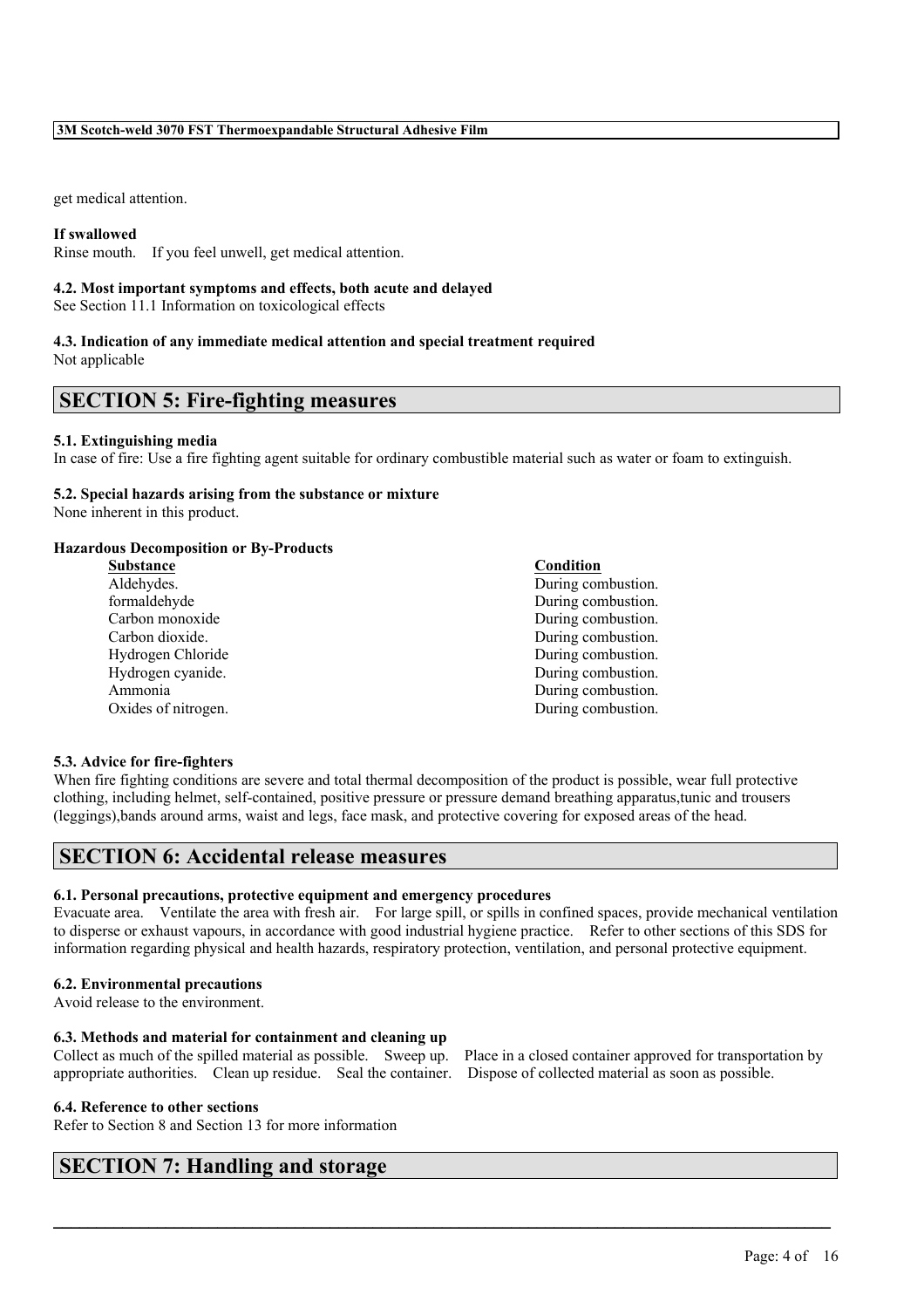get medical attention.

### **If swallowed**

Rinse mouth. If you feel unwell, get medical attention.

### **4.2. Most important symptoms and effects, both acute and delayed**

See Section 11.1 Information on toxicological effects

### **4.3. Indication of any immediate medical attention and special treatment required** Not applicable

# **SECTION 5: Fire-fighting measures**

### **5.1. Extinguishing media**

In case of fire: Use a fire fighting agent suitable for ordinary combustible material such as water or foam to extinguish.

### **5.2. Special hazards arising from the substance or mixture**

None inherent in this product.

### **Hazardous Decomposition or By-Products**

| <b>Substance</b>    | Condition          |
|---------------------|--------------------|
| Aldehydes.          | During combustion. |
| formaldehyde        | During combustion. |
| Carbon monoxide     | During combustion. |
| Carbon dioxide.     | During combustion. |
| Hydrogen Chloride   | During combustion. |
| Hydrogen cyanide.   | During combustion. |
| Ammonia             | During combustion. |
| Oxides of nitrogen. | During combustion. |
|                     |                    |

### **5.3. Advice for fire-fighters**

When fire fighting conditions are severe and total thermal decomposition of the product is possible, wear full protective clothing, including helmet, self-contained, positive pressure or pressure demand breathing apparatus,tunic and trousers (leggings),bands around arms, waist and legs, face mask, and protective covering for exposed areas of the head.

# **SECTION 6: Accidental release measures**

### **6.1. Personal precautions, protective equipment and emergency procedures**

Evacuate area. Ventilate the area with fresh air. For large spill, or spills in confined spaces, provide mechanical ventilation to disperse or exhaust vapours, in accordance with good industrial hygiene practice. Refer to other sections of this SDS for information regarding physical and health hazards, respiratory protection, ventilation, and personal protective equipment.

 $\mathcal{L}_\mathcal{L} = \mathcal{L}_\mathcal{L} = \mathcal{L}_\mathcal{L} = \mathcal{L}_\mathcal{L} = \mathcal{L}_\mathcal{L} = \mathcal{L}_\mathcal{L} = \mathcal{L}_\mathcal{L} = \mathcal{L}_\mathcal{L} = \mathcal{L}_\mathcal{L} = \mathcal{L}_\mathcal{L} = \mathcal{L}_\mathcal{L} = \mathcal{L}_\mathcal{L} = \mathcal{L}_\mathcal{L} = \mathcal{L}_\mathcal{L} = \mathcal{L}_\mathcal{L} = \mathcal{L}_\mathcal{L} = \mathcal{L}_\mathcal{L}$ 

### **6.2. Environmental precautions**

Avoid release to the environment.

### **6.3. Methods and material for containment and cleaning up**

Collect as much of the spilled material as possible. Sweep up. Place in a closed container approved for transportation by appropriate authorities. Clean up residue. Seal the container. Dispose of collected material as soon as possible.

### **6.4. Reference to other sections**

Refer to Section 8 and Section 13 for more information

# **SECTION 7: Handling and storage**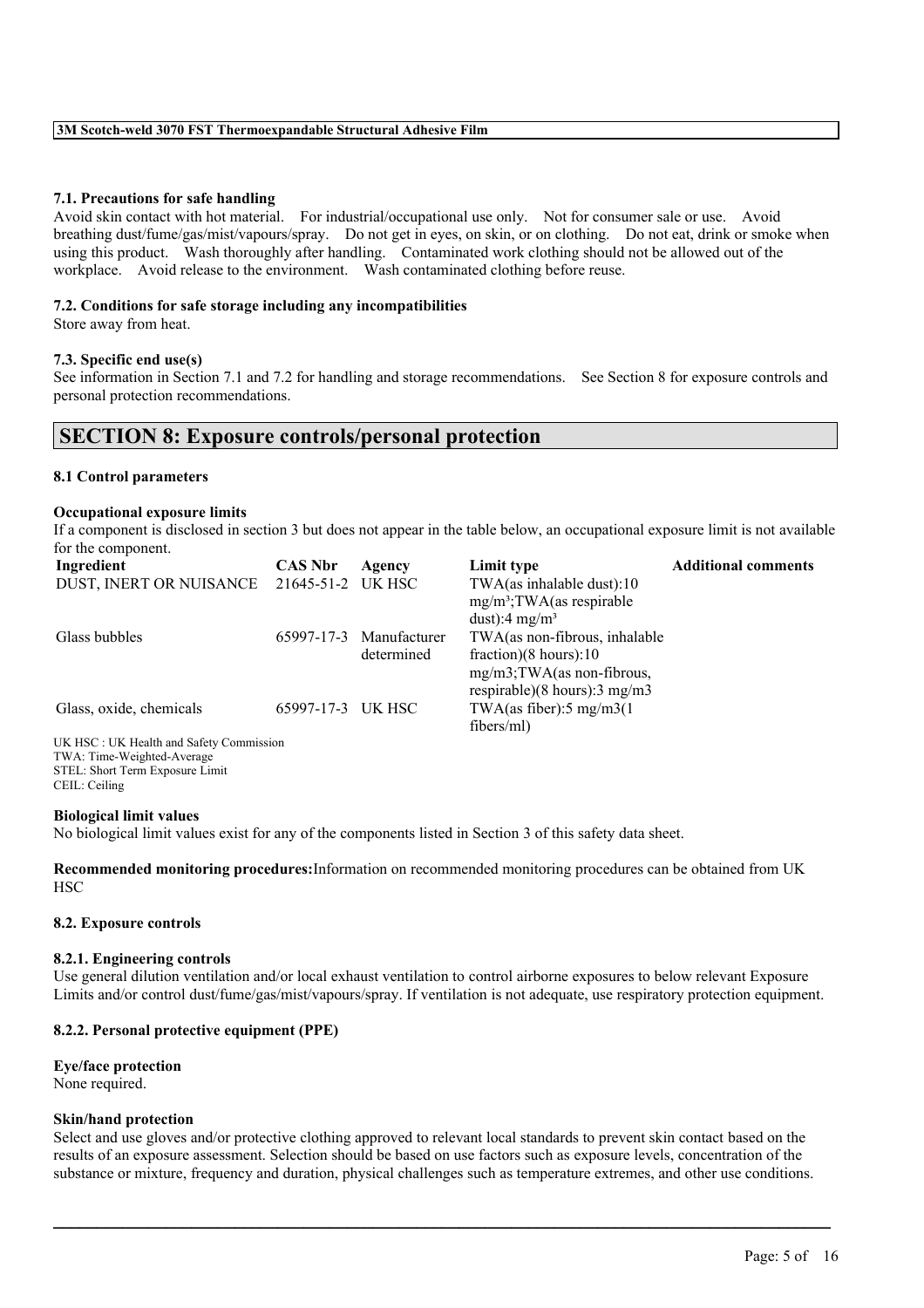### **7.1. Precautions for safe handling**

Avoid skin contact with hot material. For industrial/occupational use only. Not for consumer sale or use. Avoid breathing dust/fume/gas/mist/vapours/spray. Do not get in eyes, on skin, or on clothing. Do not eat, drink or smoke when using this product. Wash thoroughly after handling. Contaminated work clothing should not be allowed out of the workplace. Avoid release to the environment. Wash contaminated clothing before reuse.

### **7.2. Conditions for safe storage including any incompatibilities**

Store away from heat.

### **7.3. Specific end use(s)**

See information in Section 7.1 and 7.2 for handling and storage recommendations. See Section 8 for exposure controls and personal protection recommendations.

# **SECTION 8: Exposure controls/personal protection**

### **8.1 Control parameters**

### **Occupational exposure limits**

If a component is disclosed in section 3 but does not appear in the table below, an occupational exposure limit is not available for the component.

| Ingredient                                | <b>CAS Nbr</b>    | Agency       | Limit type                                | <b>Additional comments</b> |
|-------------------------------------------|-------------------|--------------|-------------------------------------------|----------------------------|
| DUST, INERT OR NUISANCE 21645-51-2 UK HSC |                   |              | TWA(as inhalable dust):10                 |                            |
|                                           |                   |              | $mg/m^3$ ; TWA(as respirable              |                            |
|                                           |                   |              | dust):4 mg/m <sup>3</sup>                 |                            |
| Glass bubbles                             | 65997-17-3        | Manufacturer | TWA(as non-fibrous, inhalable             |                            |
|                                           |                   | determined   | fraction) $(8 \text{ hours})$ :10         |                            |
|                                           |                   |              | $mg/m3$ ; TWA(as non-fibrous,             |                            |
|                                           |                   |              | respirable) $(8 \text{ hours})$ : 3 mg/m3 |                            |
| Glass, oxide, chemicals                   | 65997-17-3 UK HSC |              | TWA(as fiber): $5 \text{ mg/m}$ 3(1)      |                            |
|                                           |                   |              | fibers/ml)                                |                            |
| UK HSC: UK Health and Safety Commission   |                   |              |                                           |                            |
| TWA: Time-Weighted-Average                |                   |              |                                           |                            |
| STEL: Short Term Exposure Limit           |                   |              |                                           |                            |

CEIL: Ceiling

### **Biological limit values**

No biological limit values exist for any of the components listed in Section 3 of this safety data sheet.

**Recommended monitoring procedures:**Information on recommended monitoring procedures can be obtained from UK **HSC** 

### **8.2. Exposure controls**

### **8.2.1. Engineering controls**

Use general dilution ventilation and/or local exhaust ventilation to control airborne exposures to below relevant Exposure Limits and/or control dust/fume/gas/mist/vapours/spray. If ventilation is not adequate, use respiratory protection equipment.

### **8.2.2. Personal protective equipment (PPE)**

# **Eye/face protection**

None required.

### **Skin/hand protection**

Select and use gloves and/or protective clothing approved to relevant local standards to prevent skin contact based on the results of an exposure assessment. Selection should be based on use factors such as exposure levels, concentration of the substance or mixture, frequency and duration, physical challenges such as temperature extremes, and other use conditions.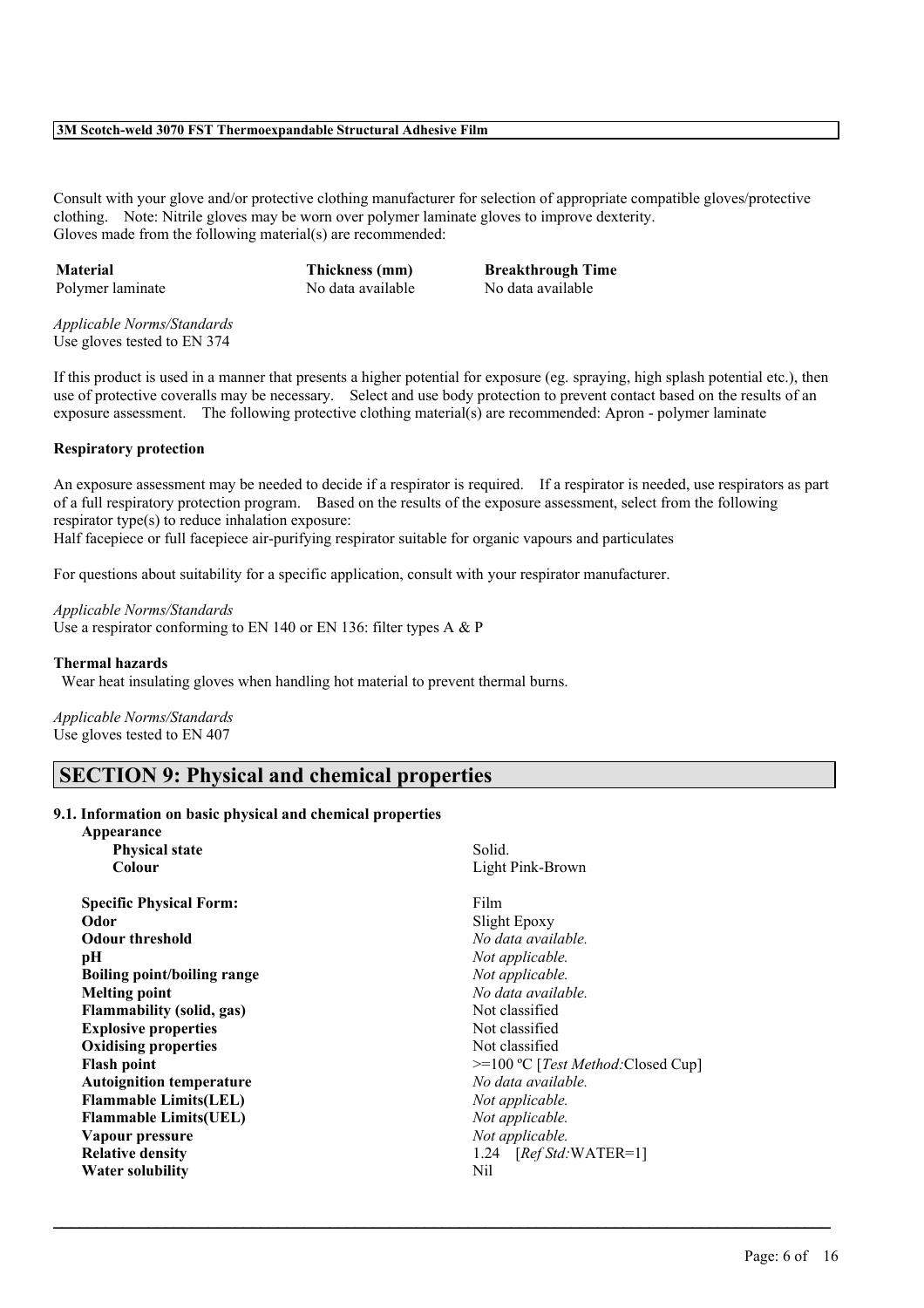Consult with your glove and/or protective clothing manufacturer for selection of appropriate compatible gloves/protective clothing. Note: Nitrile gloves may be worn over polymer laminate gloves to improve dexterity. Gloves made from the following material(s) are recommended:

**Material Thickness (mm) Breakthrough Time** Polymer laminate No data available No data available

*Applicable Norms/Standards* Use gloves tested to EN 374

If this product is used in a manner that presents a higher potential for exposure (eg. spraying, high splash potential etc.), then use of protective coveralls may be necessary. Select and use body protection to prevent contact based on the results of an exposure assessment. The following protective clothing material(s) are recommended: Apron - polymer laminate

### **Respiratory protection**

An exposure assessment may be needed to decide if a respirator is required. If a respirator is needed, use respirators as part of a full respiratory protection program. Based on the results of the exposure assessment, select from the following respirator type(s) to reduce inhalation exposure:

Half facepiece or full facepiece air-purifying respirator suitable for organic vapours and particulates

For questions about suitability for a specific application, consult with your respirator manufacturer.

*Applicable Norms/Standards* Use a respirator conforming to EN 140 or EN 136: filter types A & P

### **Thermal hazards**

Wear heat insulating gloves when handling hot material to prevent thermal burns.

*Applicable Norms/Standards* Use gloves tested to EN 407

# **SECTION 9: Physical and chemical properties**

### **9.1. Information on basic physical and chemical properties**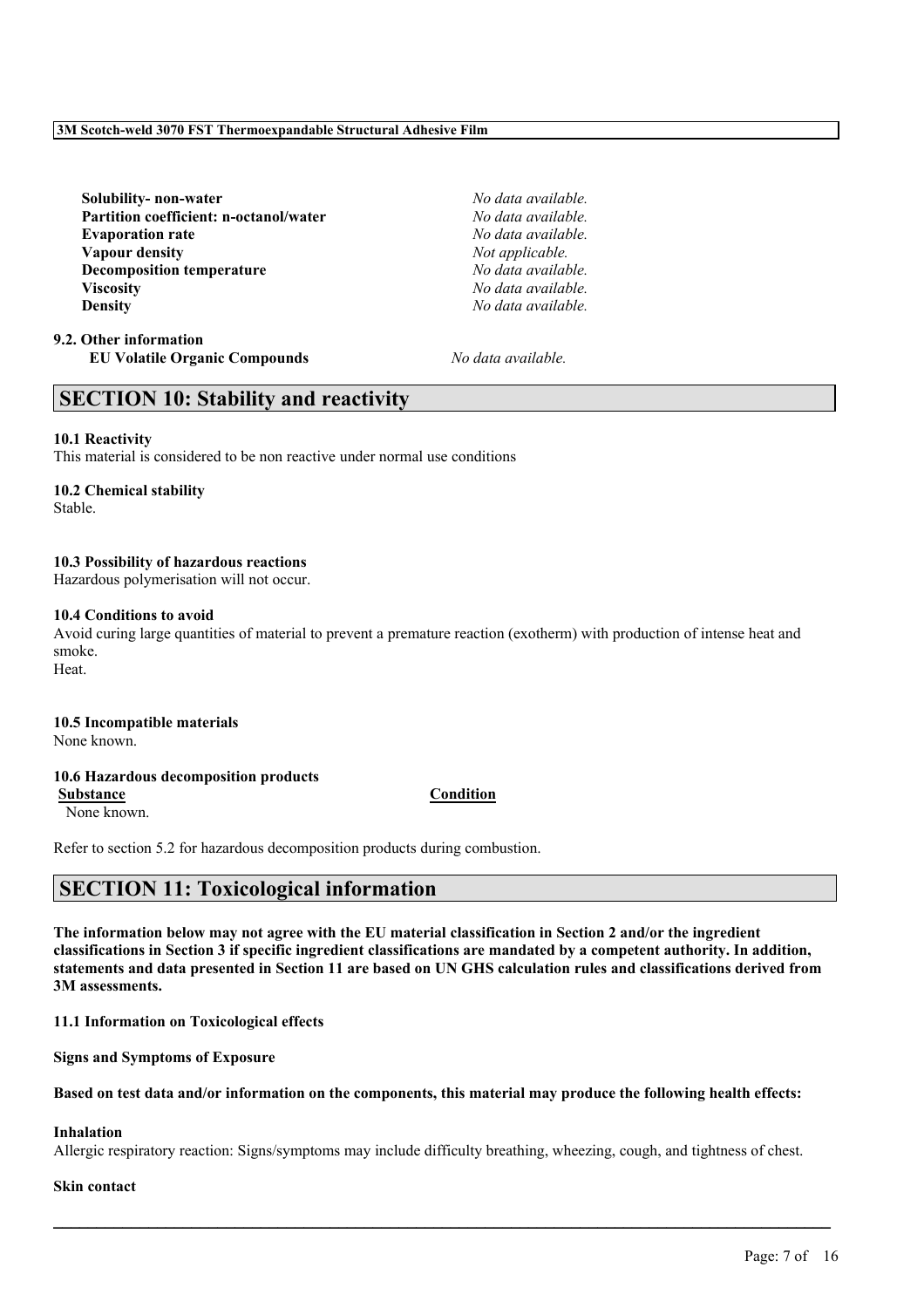# Page: 7 of 16

The information below may not agree with the EU material classification in Section 2 and/or the ingredient

classifications in Section 3 if specific ingredient classifications are mandated by a competent authority. In addition, statements and data presented in Section 11 are based on UN GHS calculation rules and classifications derived from **3M assessments.**

**11.1 Information on Toxicological effects**

**Signs and Symptoms of Exposure**

# Based on test data and/or information on the components, this material may produce the following health effects:

# **Inhalation**

Allergic respiratory reaction: Signs/symptoms may include difficulty breathing, wheezing, cough, and tightness of chest.

# **Skin contact**

**10.3 Possibility of hazardous reactions**

Hazardous polymerisation will not occur.

**10.6 Hazardous decomposition products**

Avoid curing large quantities of material to prevent a premature reaction (exotherm) with production of intense heat and

**10.4 Conditions to avoid**

smoke. Heat.

Stable.

# **3M Scotch-weld 3070 FST Thermoexpandable Structural Adhesive Film**

**Solubility- non-water** *No data available.* **Partition coefficient: n-octanol/water** *No data available.* **Evaporation rate** *No data available.* **Vapour density** *Not applicable.* **Decomposition temperature** *No data available.* **Viscosity** *No data available.* **Density** *No data available.*

**SECTION 10: Stability and reactivity**

This material is considered to be non reactive under normal use conditions

Refer to section 5.2 for hazardous decomposition products during combustion.

**SECTION 11: Toxicological information**

**9.2. Other information EU Volatile Organic Compounds** *No data available.*

**10.1 Reactivity**

**10.2 Chemical stability**

**10.5 Incompatible materials**

None known.

None known.

# **Substance Condition**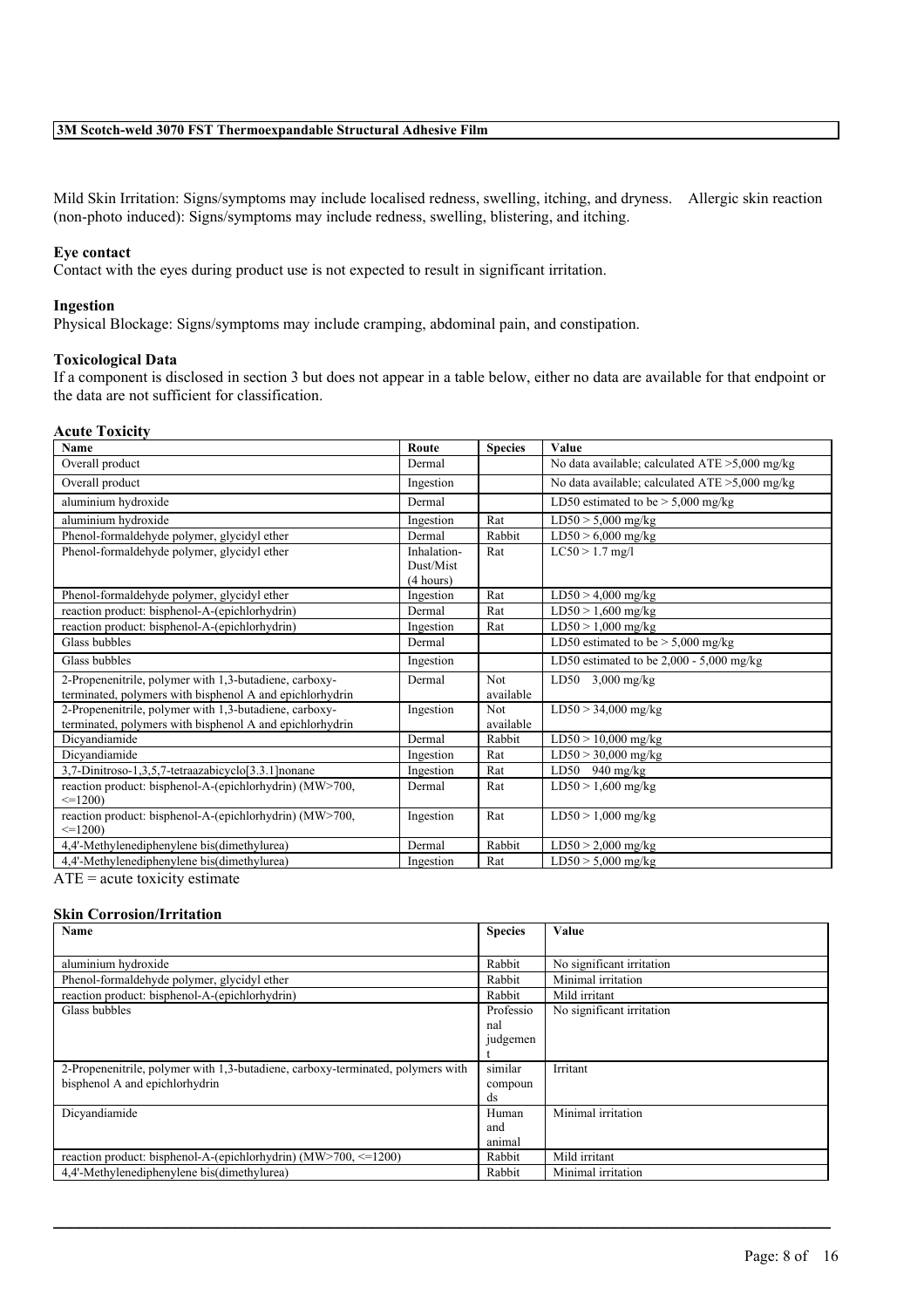Mild Skin Irritation: Signs/symptoms may include localised redness, swelling, itching, and dryness. Allergic skin reaction (non-photo induced): Signs/symptoms may include redness, swelling, blistering, and itching.

### **Eye contact**

Contact with the eyes during product use is not expected to result in significant irritation.

### **Ingestion**

Physical Blockage: Signs/symptoms may include cramping, abdominal pain, and constipation.

### **Toxicological Data**

If a component is disclosed in section 3 but does not appear in a table below, either no data are available for that endpoint or the data are not sufficient for classification.

### **Acute Toxicity**

| <b>Name</b>                                                                                                                                 | Route       | <b>Species</b> | Value                                             |
|---------------------------------------------------------------------------------------------------------------------------------------------|-------------|----------------|---------------------------------------------------|
| Overall product                                                                                                                             | Dermal      |                | No data available; calculated $ATE > 5,000$ mg/kg |
| Overall product                                                                                                                             | Ingestion   |                | No data available; calculated $ATE > 5,000$ mg/kg |
| aluminium hydroxide                                                                                                                         | Dermal      |                | LD50 estimated to be $>$ 5,000 mg/kg              |
| aluminium hydroxide                                                                                                                         | Ingestion   | Rat            | $LD50 > 5,000$ mg/kg                              |
| Phenol-formaldehyde polymer, glycidyl ether                                                                                                 | Dermal      | Rabbit         | $LD50 > 6,000$ mg/kg                              |
| Phenol-formaldehyde polymer, glycidyl ether                                                                                                 | Inhalation- | Rat            | $LC50 > 1.7$ mg/l                                 |
|                                                                                                                                             | Dust/Mist   |                |                                                   |
|                                                                                                                                             | (4 hours)   |                |                                                   |
| Phenol-formaldehyde polymer, glycidyl ether                                                                                                 | Ingestion   | Rat            | $LD50 > 4,000$ mg/kg                              |
| reaction product: bisphenol-A-(epichlorhydrin)                                                                                              | Dermal      | Rat            | $LD50 > 1,600$ mg/kg                              |
| reaction product: bisphenol-A-(epichlorhydrin)                                                                                              | Ingestion   | Rat            | $LD50 > 1,000$ mg/kg                              |
| Glass bubbles                                                                                                                               | Dermal      |                | LD50 estimated to be $>$ 5,000 mg/kg              |
| Glass bubbles                                                                                                                               | Ingestion   |                | LD50 estimated to be $2,000 - 5,000$ mg/kg        |
| 2-Propenenitrile, polymer with 1,3-butadiene, carboxy-                                                                                      | Dermal      | Not.           | LD50 $3,000$ mg/kg                                |
| terminated, polymers with bisphenol A and epichlorhydrin                                                                                    |             | available      |                                                   |
| 2-Propenenitrile, polymer with 1,3-butadiene, carboxy-                                                                                      | Ingestion   | <b>Not</b>     | $LD50 > 34,000$ mg/kg                             |
| terminated, polymers with bisphenol A and epichlorhydrin                                                                                    |             | available      |                                                   |
| Dicyandiamide                                                                                                                               | Dermal      | Rabbit         | $LD50 > 10,000$ mg/kg                             |
| Dicvandiamide                                                                                                                               | Ingestion   | Rat            | $LD50 > 30,000$ mg/kg                             |
| 3,7-Dinitroso-1,3,5,7-tetraazabicyclo[3.3.1] nonane                                                                                         | Ingestion   | Rat            | $\overline{LDS0}$ 940 mg/kg                       |
| reaction product: bisphenol-A-(epichlorhydrin) (MW>700,                                                                                     | Dermal      | Rat            | $LD50 > 1,600$ mg/kg                              |
| $\leq$ 1200)                                                                                                                                |             |                |                                                   |
| reaction product: bisphenol-A-(epichlorhydrin) (MW>700,                                                                                     | Ingestion   | Rat            | $LD50 > 1,000$ mg/kg                              |
| $\leq$ 1200)                                                                                                                                |             |                |                                                   |
| 4,4'-Methylenediphenylene bis(dimethylurea)                                                                                                 | Dermal      | Rabbit         | $LD50 > 2,000$ mg/kg                              |
| 4,4'-Methylenediphenylene bis(dimethylurea)                                                                                                 | Ingestion   | Rat            | $LD50 > 5,000$ mg/kg                              |
| the contract of the contract of the contract of the contract of the contract of the contract of the contract of<br>$\sqrt{1 + \frac{1}{2}}$ |             |                |                                                   |

 $ATE = acute$  toxicity estimate

### **Skin Corrosion/Irritation**

| Name                                                                            | <b>Species</b> | Value                     |
|---------------------------------------------------------------------------------|----------------|---------------------------|
|                                                                                 |                |                           |
| aluminium hydroxide                                                             | Rabbit         | No significant irritation |
| Phenol-formaldehyde polymer, glycidyl ether                                     | Rabbit         | Minimal irritation        |
| reaction product: bisphenol-A-(epichlorhydrin)                                  | Rabbit         | Mild irritant             |
| Glass bubbles                                                                   | Professio      | No significant irritation |
|                                                                                 | nal            |                           |
|                                                                                 | judgemen       |                           |
|                                                                                 |                |                           |
| 2-Propenenitrile, polymer with 1,3-butadiene, carboxy-terminated, polymers with | similar        | Irritant                  |
| bisphenol A and epichlorhydrin                                                  | compoun        |                           |
|                                                                                 | ds             |                           |
| Dicvandiamide                                                                   | Human          | Minimal irritation        |
|                                                                                 | and            |                           |
|                                                                                 | animal         |                           |
| reaction product: bisphenol-A-(epichlorhydrin) ( $\text{MW} > 700$ , <=1200)    | Rabbit         | Mild irritant             |
| 4,4'-Methylenediphenylene bis(dimethylurea)                                     | Rabbit         | Minimal irritation        |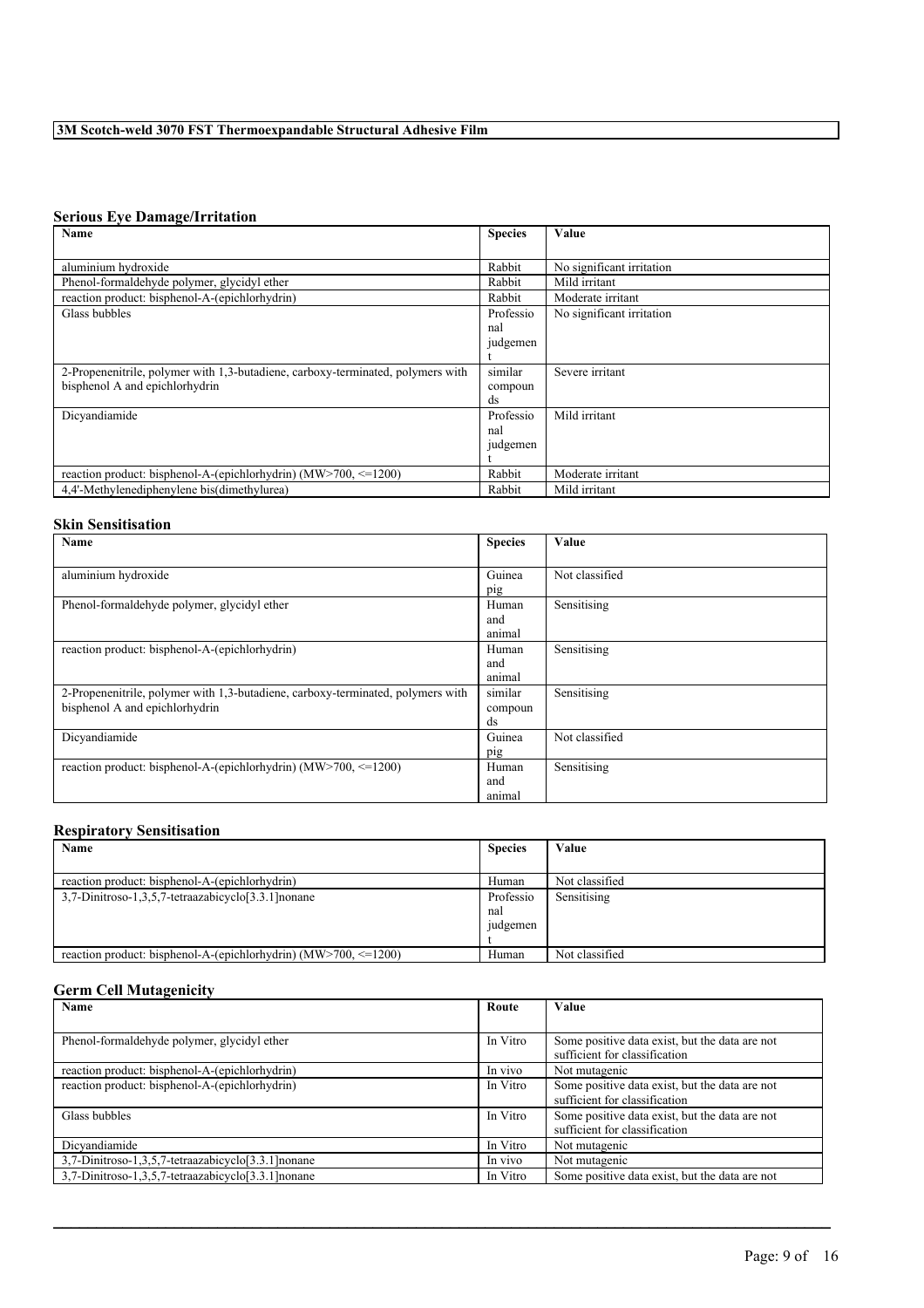### **Serious Eye Damage/Irritation**

| Name                                                                            | <b>Species</b> | Value                     |
|---------------------------------------------------------------------------------|----------------|---------------------------|
|                                                                                 |                |                           |
| aluminium hydroxide                                                             | Rabbit         | No significant irritation |
| Phenol-formaldehyde polymer, glycidyl ether                                     | Rabbit         | Mild irritant             |
| reaction product: bisphenol-A-(epichlorhydrin)                                  | Rabbit         | Moderate irritant         |
| Glass bubbles                                                                   | Professio      | No significant irritation |
|                                                                                 | nal            |                           |
|                                                                                 | judgemen       |                           |
|                                                                                 |                |                           |
| 2-Propenenitrile, polymer with 1,3-butadiene, carboxy-terminated, polymers with | similar        | Severe irritant           |
| bisphenol A and epichlorhydrin                                                  | compoun        |                           |
|                                                                                 | ds             |                           |
| Dicvandiamide                                                                   | Professio      | Mild irritant             |
|                                                                                 | nal            |                           |
|                                                                                 | judgemen       |                           |
|                                                                                 |                |                           |
| reaction product: bisphenol-A-(epichlorhydrin) (MW>700, $\le$ =1200)            | Rabbit         | Moderate irritant         |
| 4,4'-Methylenediphenylene bis(dimethylurea)                                     | Rabbit         | Mild irritant             |

# **Skin Sensitisation**

| Name                                                                            | <b>Species</b> | Value          |
|---------------------------------------------------------------------------------|----------------|----------------|
|                                                                                 |                |                |
| aluminium hydroxide                                                             | Guinea         | Not classified |
|                                                                                 | pig            |                |
| Phenol-formaldehyde polymer, glycidyl ether                                     | Human          | Sensitising    |
|                                                                                 | and            |                |
|                                                                                 | animal         |                |
| reaction product: bisphenol-A-(epichlorhydrin)                                  | Human          | Sensitising    |
|                                                                                 | and            |                |
|                                                                                 | animal         |                |
| 2-Propenenitrile, polymer with 1,3-butadiene, carboxy-terminated, polymers with | similar        | Sensitising    |
| bisphenol A and epichlorhydrin                                                  | compoun        |                |
|                                                                                 | ds             |                |
| Dicvandiamide                                                                   | Guinea         | Not classified |
|                                                                                 | pig            |                |
| reaction product: bisphenol-A-(epichlorhydrin) ( $\text{MW} > 700$ , <=1200)    | Human          | Sensitising    |
|                                                                                 | and            |                |
|                                                                                 | animal         |                |

### **Respiratory Sensitisation**

| Name                                                               | <b>Species</b> | Value          |
|--------------------------------------------------------------------|----------------|----------------|
|                                                                    |                |                |
| reaction product: bisphenol-A-(epichlorhydrin)                     | Human          | Not classified |
| 3.7-Dinitroso-1.3.5.7-tetraazabicyclo[3.3.1] nonane                | Professio      | Sensitising    |
|                                                                    | nal            |                |
|                                                                    | <i>udgemen</i> |                |
|                                                                    |                |                |
| reaction product: bisphenol-A-(epichlorhydrin) $(MW>700 \le 1200)$ | Human          | Not classified |

### **Germ Cell Mutagenicity**

| <b>Name</b>                                         | Route    | <b>Value</b>                                   |
|-----------------------------------------------------|----------|------------------------------------------------|
|                                                     |          |                                                |
| Phenol-formaldehyde polymer, glycidyl ether         | In Vitro | Some positive data exist, but the data are not |
|                                                     |          | sufficient for classification                  |
| reaction product: bisphenol-A-(epichlorhydrin)      | In vivo  | Not mutagenic                                  |
| reaction product: bisphenol-A-(epichlorhydrin)      | In Vitro | Some positive data exist, but the data are not |
|                                                     |          | sufficient for classification                  |
| Glass bubbles                                       | In Vitro | Some positive data exist, but the data are not |
|                                                     |          | sufficient for classification                  |
| Dicyandiamide                                       | In Vitro | Not mutagenic                                  |
| 3,7-Dinitroso-1,3,5,7-tetraazabicyclo[3.3.1] nonane | In vivo  | Not mutagenic                                  |
| 3,7-Dinitroso-1,3,5,7-tetraazabicyclo[3.3.1] nonane | In Vitro | Some positive data exist, but the data are not |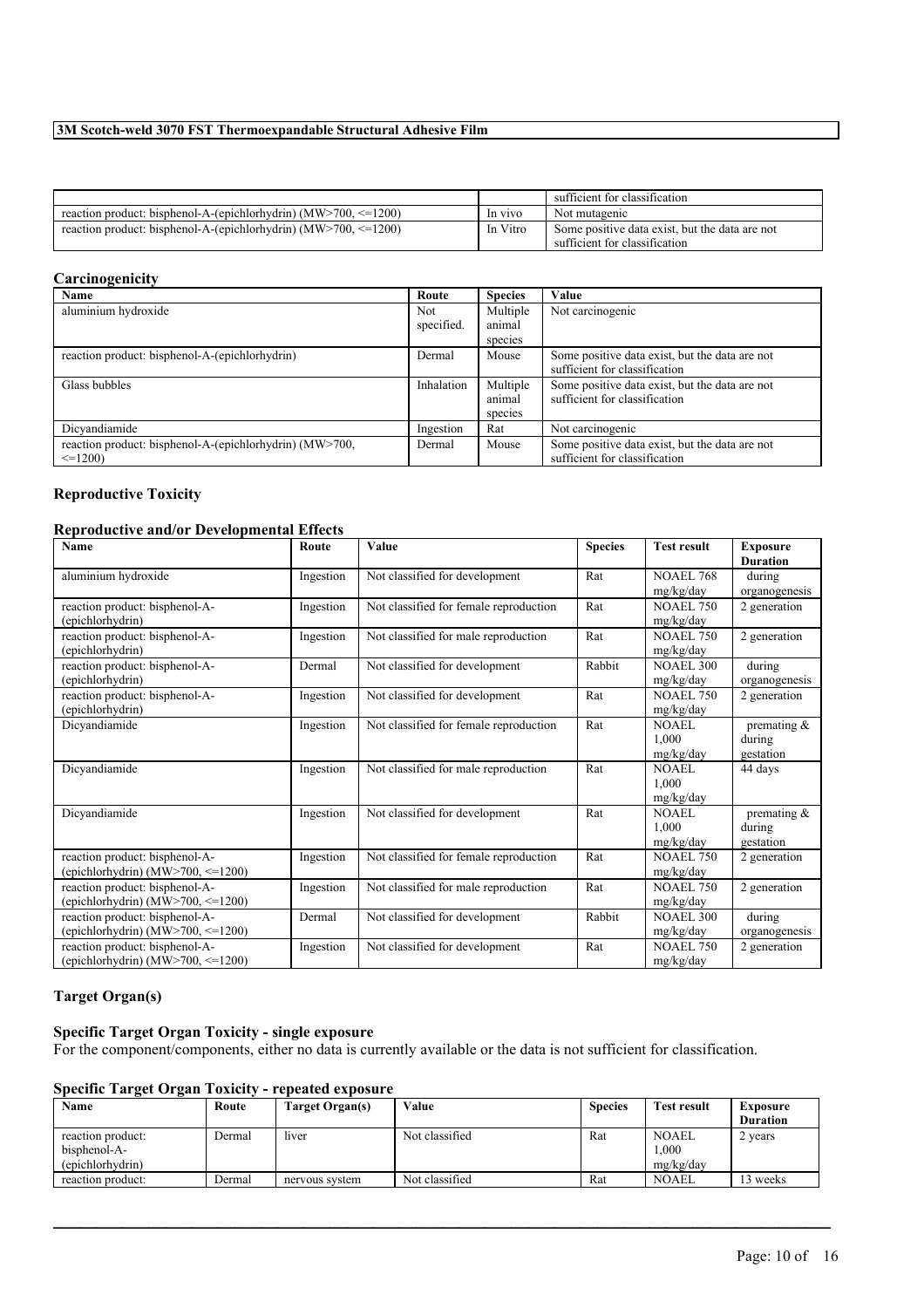|                                                                                |          | sufficient for classification                  |
|--------------------------------------------------------------------------------|----------|------------------------------------------------|
| reaction product: bisphenol-A-(epichlorhydrin) ( $\text{MW} > 700 \leq 1200$ ) | In vivo  | Not mutagenic                                  |
| reaction product: bisphenol-A-(epichlorhydrin) $(MW>700, \le 1200)$            | In Vitro | Some positive data exist, but the data are not |
|                                                                                |          | sufficient for classification                  |

### **Carcinogenicity**

| Name                                                    | Route      | <b>Species</b> | Value                                          |
|---------------------------------------------------------|------------|----------------|------------------------------------------------|
| aluminium hydroxide                                     | <b>Not</b> | Multiple       | Not carcinogenic                               |
|                                                         | specified. | animal         |                                                |
|                                                         |            | species        |                                                |
| reaction product: bisphenol-A-(epichlorhydrin)          | Dermal     | Mouse          | Some positive data exist, but the data are not |
|                                                         |            |                | sufficient for classification                  |
| Glass bubbles                                           | Inhalation | Multiple       | Some positive data exist, but the data are not |
|                                                         |            | animal         | sufficient for classification                  |
|                                                         |            | species        |                                                |
| Dicyandiamide                                           | Ingestion  | Rat            | Not carcinogenic                               |
| reaction product: bisphenol-A-(epichlorhydrin) (MW>700, | Dermal     | Mouse          | Some positive data exist, but the data are not |
| $\leq$ =1200)                                           |            |                | sufficient for classification                  |

# **Reproductive Toxicity**

### **Reproductive and/or Developmental Effects**

| Name                                                                          | Route     | Value                                  | <b>Species</b> | <b>Test result</b>                 | <b>Exposure</b><br><b>Duration</b>    |
|-------------------------------------------------------------------------------|-----------|----------------------------------------|----------------|------------------------------------|---------------------------------------|
| aluminium hydroxide                                                           | Ingestion | Not classified for development         | Rat            | <b>NOAEL 768</b>                   | during                                |
|                                                                               |           |                                        |                | mg/kg/day                          | organogenesis                         |
| reaction product: bisphenol-A-<br>(epichlorhydrin)                            | Ingestion | Not classified for female reproduction | Rat            | <b>NOAEL 750</b><br>mg/kg/day      | 2 generation                          |
| reaction product: bisphenol-A-<br>(epichlorhydrin)                            | Ingestion | Not classified for male reproduction   | Rat            | <b>NOAEL 750</b><br>mg/kg/day      | 2 generation                          |
| reaction product: bisphenol-A-<br>(epichlorhydrin)                            | Dermal    | Not classified for development         | Rabbit         | <b>NOAEL 300</b><br>mg/kg/day      | during<br>organogenesis               |
| reaction product: bisphenol-A-<br>(epichlorhydrin)                            | Ingestion | Not classified for development         | Rat            | <b>NOAEL 750</b><br>mg/kg/day      | 2 generation                          |
| Dicyandiamide                                                                 | Ingestion | Not classified for female reproduction | Rat            | <b>NOAEL</b><br>1.000<br>mg/kg/day | premating $\&$<br>during<br>gestation |
| Dicyandiamide                                                                 | Ingestion | Not classified for male reproduction   | Rat            | NOAEL<br>1.000<br>mg/kg/day        | 44 days                               |
| Dicyandiamide                                                                 | Ingestion | Not classified for development         | Rat            | NOAEL<br>1.000<br>mg/kg/day        | premating $\&$<br>during<br>gestation |
| reaction product: bisphenol-A-<br>(epichlorhydrin) (MW $>700$ , $\leq 1200$ ) | Ingestion | Not classified for female reproduction | Rat            | <b>NOAEL 750</b><br>mg/kg/day      | 2 generation                          |
| reaction product: bisphenol-A-<br>(epichlorhydrin) (MW $>700$ , $\leq 1200$ ) | Ingestion | Not classified for male reproduction   | Rat            | <b>NOAEL 750</b><br>mg/kg/day      | 2 generation                          |
| reaction product: bisphenol-A-<br>(epichlorhydrin) (MW $>700$ , $\leq 1200$ ) | Dermal    | Not classified for development         | Rabbit         | <b>NOAEL 300</b><br>mg/kg/day      | during<br>organogenesis               |
| reaction product: bisphenol-A-<br>(epichlorhydrin) (MW $>700$ , $\leq 1200$ ) | Ingestion | Not classified for development         | Rat            | <b>NOAEL 750</b><br>mg/kg/day      | 2 generation                          |

### **Target Organ(s)**

# **Specific Target Organ Toxicity - single exposure**

For the component/components, either no data is currently available or the data is not sufficient for classification.

# **Specific Target Organ Toxicity - repeated exposure**

| Name              | Route  | Target Organ(s) | Value          | <b>Species</b> | <b>Test result</b> | Exposure        |
|-------------------|--------|-----------------|----------------|----------------|--------------------|-----------------|
|                   |        |                 |                |                |                    | <b>Duration</b> |
| reaction product: | Dermal | liver           | Not classified | Rat            | <b>NOAEL</b>       | 2 years         |
| bisphenol-A-      |        |                 |                |                | .000.              |                 |
| (epichlorhydrin)  |        |                 |                |                | mg/kg/day          |                 |
| reaction product: | Dermal | nervous system  | Not classified | Rat            | <b>NOAEL</b>       | 3 weeks         |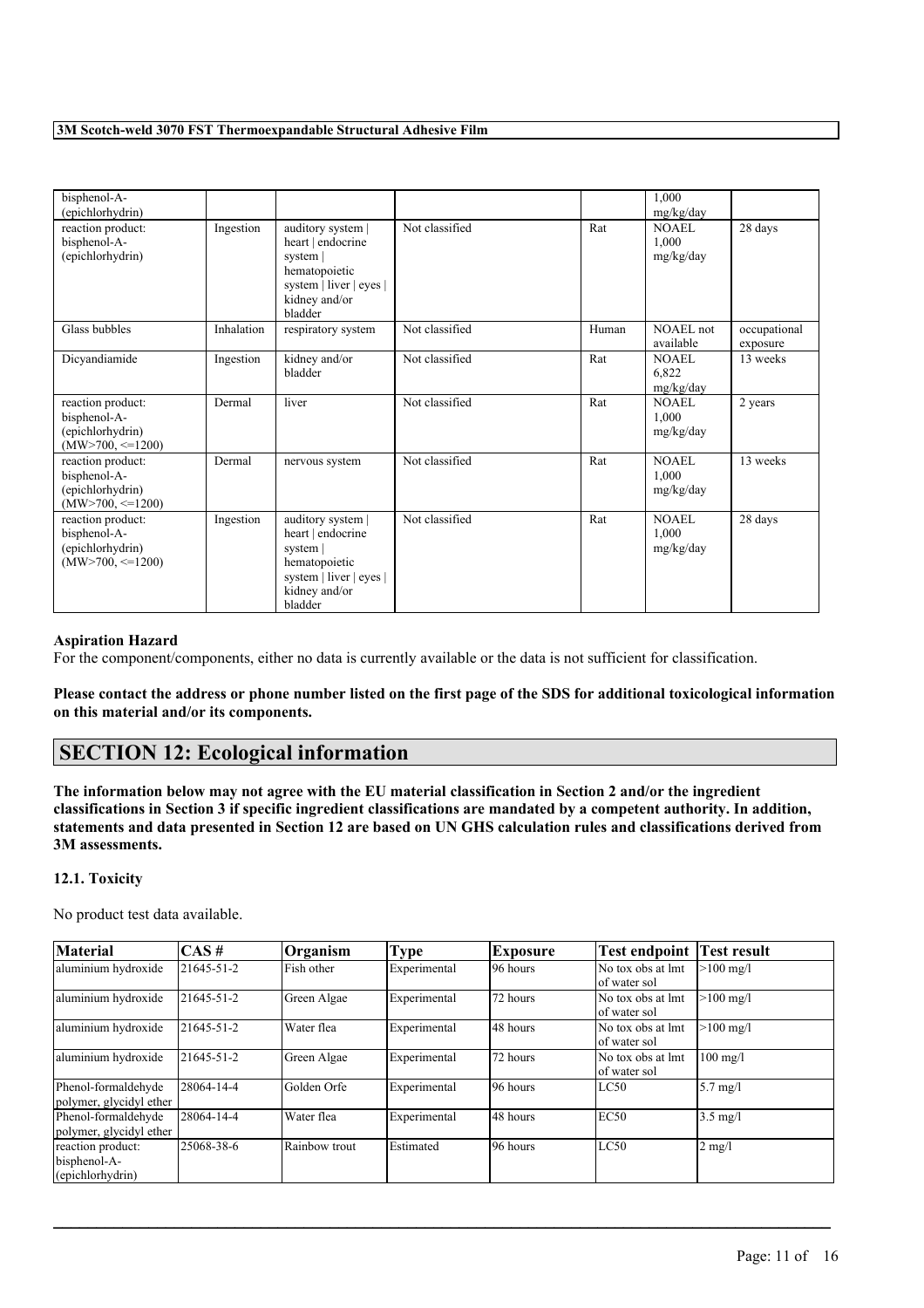| bisphenol-A-<br>(epichlorhydrin)                                                 |            |                                                                                                                            |                |       | 1,000<br>mg/kg/day                 |                          |
|----------------------------------------------------------------------------------|------------|----------------------------------------------------------------------------------------------------------------------------|----------------|-------|------------------------------------|--------------------------|
| reaction product:<br>bisphenol-A-<br>(epichlorhydrin)                            | Ingestion  | auditory system  <br>heart   endocrine<br>system  <br>hematopoietic<br>system   liver   eyes  <br>kidney and/or<br>bladder | Not classified | Rat   | NOAEL<br>1,000<br>mg/kg/day        | 28 days                  |
| Glass bubbles                                                                    | Inhalation | respiratory system                                                                                                         | Not classified | Human | NOAEL not<br>available             | occupational<br>exposure |
| Dicyandiamide                                                                    | Ingestion  | kidney and/or<br>bladder                                                                                                   | Not classified | Rat   | <b>NOAEL</b><br>6,822<br>mg/kg/day | 13 weeks                 |
| reaction product:<br>bisphenol-A-<br>(epichlorhydrin)<br>$(MW > 700, \leq 1200)$ | Dermal     | liver                                                                                                                      | Not classified | Rat   | NOAEL<br>1,000<br>mg/kg/day        | 2 years                  |
| reaction product:<br>bisphenol-A-<br>(epichlorhydrin)<br>$(MW > 700, \leq 1200)$ | Dermal     | nervous system                                                                                                             | Not classified | Rat   | <b>NOAEL</b><br>1,000<br>mg/kg/day | 13 weeks                 |
| reaction product:<br>bisphenol-A-<br>(epichlorhydrin)<br>$(MW>700, \leq 1200)$   | Ingestion  | auditory system  <br>heart   endocrine<br>system<br>hematopoietic<br>system   liver   eyes  <br>kidney and/or<br>bladder   | Not classified | Rat   | <b>NOAEL</b><br>1,000<br>mg/kg/day | 28 days                  |

### **Aspiration Hazard**

For the component/components, either no data is currently available or the data is not sufficient for classification.

Please contact the address or phone number listed on the first page of the SDS for additional toxicological information **on this material and/or its components.**

# **SECTION 12: Ecological information**

The information below may not agree with the EU material classification in Section 2 and/or the ingredient classifications in Section 3 if specific ingredient classifications are mandated by a competent authority. In addition, statements and data presented in Section 12 are based on UN GHS calculation rules and classifications derived from **3M assessments.**

### **12.1. Toxicity**

No product test data available.

| <b>Material</b>                                       | $CAS \#$   | Organism      | Type         | Exposure  | <b>Test endpoint</b>               | <b>Test result</b> |
|-------------------------------------------------------|------------|---------------|--------------|-----------|------------------------------------|--------------------|
| aluminium hydroxide                                   | 21645-51-2 | Fish other    | Experimental | 96 hours  | No tox obs at lmt<br>of water sol  | $>100$ mg/l        |
| aluminium hydroxide                                   | 21645-51-2 | Green Algae   | Experimental | 72 hours  | No tox obs at lmt<br>lof water sol | $>100$ mg/l        |
| aluminium hydroxide                                   | 21645-51-2 | Water flea    | Experimental | 148 hours | No tox obs at lmt<br>lof water sol | $>100$ mg/l        |
| aluminium hydroxide                                   | 21645-51-2 | Green Algae   | Experimental | 72 hours  | No tox obs at lmt<br>of water sol  | $100$ mg/l         |
| Phenol-formaldehyde<br>polymer, glycidyl ether        | 28064-14-4 | lGolden Orfe  | Experimental | 96 hours  | LC50                               | $5.7$ mg/l         |
| Phenol-formaldehyde<br>polymer, glycidyl ether        | 28064-14-4 | Water flea    | Experimental | 148 hours | EC50                               | $3.5$ mg/l         |
| reaction product:<br>bisphenol-A-<br>(epichlorhydrin) | 25068-38-6 | Rainbow trout | Estimated    | 96 hours  | LC50                               | $2 \text{ mg/l}$   |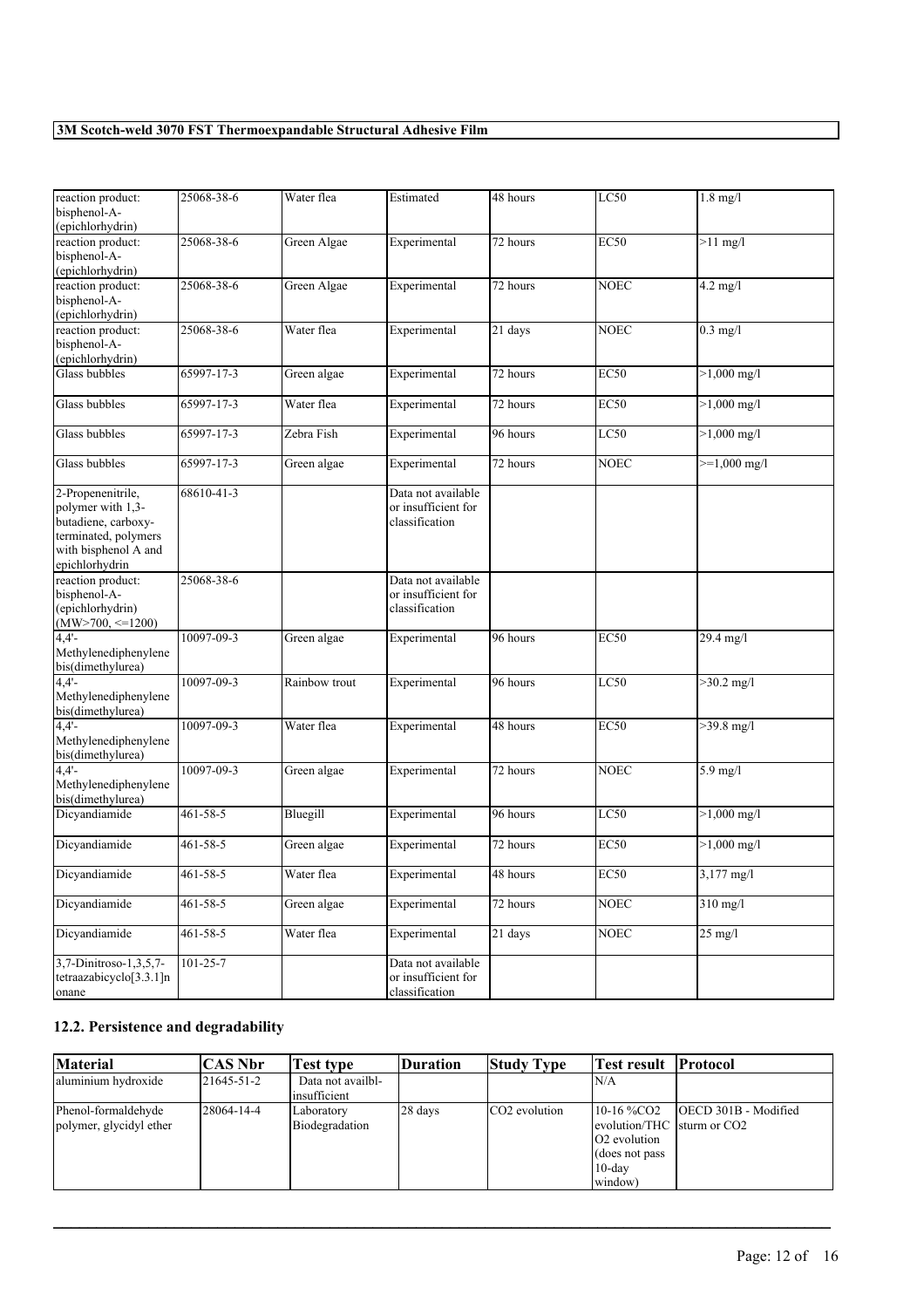| reaction product:<br>bisphenol-A-<br>(epichlorhydrin)                                                                           | 25068-38-6     | Water flea    | Estimated                                                   | 48 hours | LC50        | $1.8$ mg/l             |
|---------------------------------------------------------------------------------------------------------------------------------|----------------|---------------|-------------------------------------------------------------|----------|-------------|------------------------|
| reaction product:<br>bisphenol-A-<br>(epichlorhydrin)                                                                           | 25068-38-6     | Green Algae   | Experimental                                                | 72 hours | EC50        | $>11$ mg/l             |
| reaction product:<br>bisphenol-A-<br>(epichlorhydrin)                                                                           | 25068-38-6     | Green Algae   | Experimental                                                | 72 hours | <b>NOEC</b> | $4.2$ mg/l             |
| reaction product:<br>bisphenol-A-<br>(epichlorhydrin)                                                                           | 25068-38-6     | Water flea    | Experimental                                                | 21 days  | <b>NOEC</b> | $0.3$ mg/l             |
| Glass bubbles                                                                                                                   | 65997-17-3     | Green algae   | Experimental                                                | 72 hours | <b>EC50</b> | $>1,000$ mg/l          |
| Glass bubbles                                                                                                                   | 65997-17-3     | Water flea    | Experimental                                                | 72 hours | <b>EC50</b> | $>1,000 \text{ mg/l}$  |
| Glass bubbles                                                                                                                   | 65997-17-3     | Zebra Fish    | Experimental                                                | 96 hours | LC50        | $>1,000 \text{ mg/l}$  |
| Glass bubbles                                                                                                                   | 65997-17-3     | Green algae   | Experimental                                                | 72 hours | NOEC        | $>=1,000 \text{ mg/l}$ |
| 2-Propenenitrile,<br>polymer with 1,3-<br>butadiene, carboxy-<br>terminated, polymers<br>with bisphenol A and<br>epichlorhydrin | 68610-41-3     |               | Data not available<br>or insufficient for<br>classification |          |             |                        |
| reaction product:<br>bisphenol-A-<br>(epichlorhydrin)<br>$(MW>700, \le 1200)$                                                   | 25068-38-6     |               | Data not available<br>or insufficient for<br>classification |          |             |                        |
| 4.4'<br>Methylenediphenylene<br>bis(dimethylurea)                                                                               | 10097-09-3     | Green algae   | Experimental                                                | 96 hours | <b>EC50</b> | 29.4 mg/l              |
| $4,4'$ -<br>Methylenediphenylene<br>bis(dimethylurea)                                                                           | 10097-09-3     | Rainbow trout | Experimental                                                | 96 hours | LC50        | $>30.2$ mg/l           |
| $4,4'$ -<br>Methylenediphenylene<br>bis(dimethylurea)                                                                           | 10097-09-3     | Water flea    | Experimental                                                | 48 hours | <b>EC50</b> | $>39.8$ mg/l           |
| 4.4'<br>Methylenediphenylene<br>bis(dimethylurea)                                                                               | 10097-09-3     | Green algae   | Experimental                                                | 72 hours | <b>NOEC</b> | 5.9 mg/l               |
| Dicyandiamide                                                                                                                   | $461 - 58 - 5$ | Bluegill      | Experimental                                                | 96 hours | LC50        | $>1,000$ mg/l          |
| Dicyandiamide                                                                                                                   | $461 - 58 - 5$ | Green algae   | Experimental                                                | 72 hours | <b>EC50</b> | $>1,000$ mg/l          |
| Dicyandiamide                                                                                                                   | $461 - 58 - 5$ | Water flea    | Experimental                                                | 48 hours | <b>EC50</b> | $3,177 \text{ mg/l}$   |
| Dicyandiamide                                                                                                                   | 461-58-5       | Green algae   | Experimental                                                | 72 hours | <b>NOEC</b> | $310$ mg/l             |
| Dicyandiamide                                                                                                                   | $461 - 58 - 5$ | Water flea    | Experimental                                                | 21 days  | <b>NOEC</b> | $25$ mg/l              |
| 3,7-Dinitroso-1,3,5,7-<br>tetraazabicyclo[3.3.1]n<br>onane                                                                      | $101 - 25 - 7$ |               | Data not available<br>or insufficient for<br>classification |          |             |                        |

# **12.2. Persistence and degradability**

| <b>Material</b>                                | CAS Nbr    | <b>Test type</b>                  | <b>Duration</b> | <b>Study Type</b>         | Test result   Protocol                                                                                                      |                              |
|------------------------------------------------|------------|-----------------------------------|-----------------|---------------------------|-----------------------------------------------------------------------------------------------------------------------------|------------------------------|
| aluminium hydroxide                            | 21645-51-2 | Data not availbl-<br>insufficient |                 |                           | IN/A                                                                                                                        |                              |
| Phenol-formaldehyde<br>polymer, glycidyl ether | 28064-14-4 | Laboratory<br>Biodegradation      | 28 days         | CO <sub>2</sub> evolution | $10-16\%$ CO <sub>2</sub><br>levolution/THC 1sturm or CO2<br><b>O2</b> evolution<br>(does not pass)<br>$10$ -day<br>window) | <b>IOECD 301B - Modified</b> |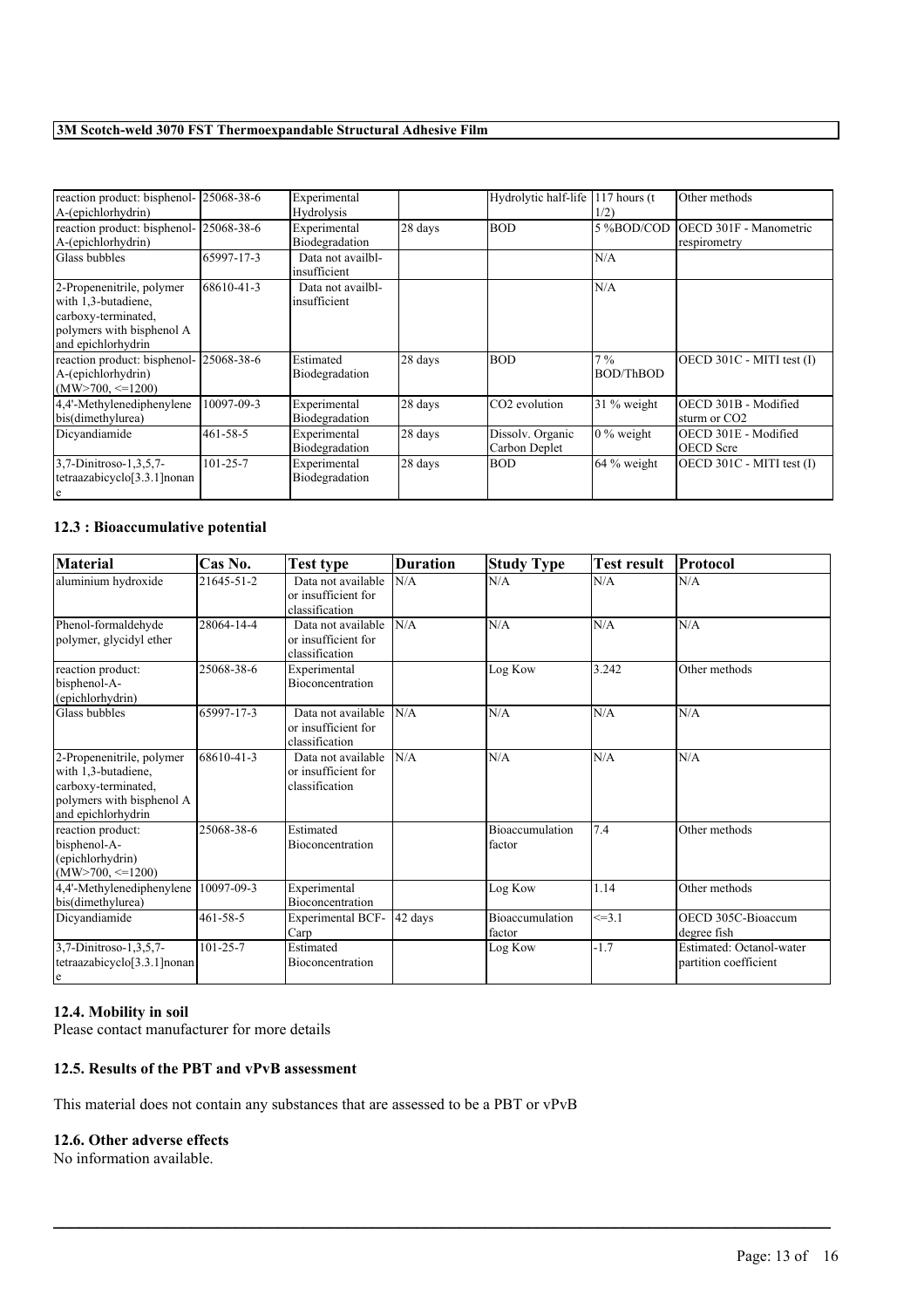| reaction product: bisphenol- 25068-38-6<br>A-(epichlorhydrin)                                                              |                | Experimental<br>Hydrolysis        |         | Hydrolytic half-life              | 117 hours $(t)$<br>1/2)   | Other methods                                    |
|----------------------------------------------------------------------------------------------------------------------------|----------------|-----------------------------------|---------|-----------------------------------|---------------------------|--------------------------------------------------|
| reaction product: bisphenol- 25068-38-6<br>A-(epichlorhydrin)                                                              |                | Experimental<br>Biodegradation    | 28 days | <b>BOD</b>                        | 5 %BOD/COD                | OECD 301F - Manometric<br>respirometry           |
| Glass bubbles                                                                                                              | 65997-17-3     | Data not availbl-<br>insufficient |         |                                   | N/A                       |                                                  |
| 2-Propenenitrile, polymer<br>with 1,3-butadiene,<br>carboxy-terminated,<br>polymers with bisphenol A<br>and epichlorhydrin | 68610-41-3     | Data not availbl-<br>insufficient |         |                                   | N/A                       |                                                  |
| reaction product: bisphenol- 25068-38-6<br>A-(epichlorhydrin)<br>$(MW>700 \le = 1200)$                                     |                | Estimated<br>Biodegradation       | 28 days | <b>BOD</b>                        | $7\%$<br><b>BOD/ThBOD</b> | OECD 301C - MITI test (I)                        |
| 4,4'-Methylenediphenylene<br>bis(dimethylurea)                                                                             | 10097-09-3     | Experimental<br>Biodegradation    | 28 days | CO <sub>2</sub> evolution         | 31 % weight               | OECD 301B - Modified<br>sturm or CO <sub>2</sub> |
| Dicvandiamide                                                                                                              | 461-58-5       | Experimental<br>Biodegradation    | 28 days | Dissolv. Organic<br>Carbon Deplet | $0\%$ weight              | OECD 301E - Modified<br><b>OECD</b> Scre         |
| 3,7-Dinitroso-1,3,5,7-<br>tetraazabicyclo <sup>[3.3.1]</sup> nonan<br>e                                                    | $101 - 25 - 7$ | Experimental<br>Biodegradation    | 28 days | <b>BOD</b>                        | 64 % weight               | OECD 301C - MITI test (I)                        |

### **12.3 : Bioaccumulative potential**

| <b>Material</b>                                                                                                            | Cas No.        | <b>Test type</b>                                            | <b>Duration</b> | <b>Study Type</b>                | <b>Test result</b> | Protocol                                          |
|----------------------------------------------------------------------------------------------------------------------------|----------------|-------------------------------------------------------------|-----------------|----------------------------------|--------------------|---------------------------------------------------|
| aluminium hydroxide                                                                                                        | 21645-51-2     | Data not available<br>or insufficient for<br>classification | N/A             | N/A                              | N/A                | N/A                                               |
| Phenol-formaldehyde<br>polymer, glycidyl ether                                                                             | 28064-14-4     | Data not available<br>or insufficient for<br>classification | N/A             | N/A                              | N/A                | N/A                                               |
| reaction product:<br>bisphenol-A-<br>(epichlorhydrin)                                                                      | 25068-38-6     | Experimental<br><b>Bioconcentration</b>                     |                 | Log Kow                          | 3.242              | Other methods                                     |
| Glass bubbles                                                                                                              | 65997-17-3     | Data not available<br>or insufficient for<br>classification | N/A             | N/A                              | N/A                | N/A                                               |
| 2-Propenenitrile, polymer<br>with 1,3-butadiene,<br>carboxy-terminated,<br>polymers with bisphenol A<br>and epichlorhydrin | 68610-41-3     | Data not available<br>or insufficient for<br>classification | N/A             | N/A                              | N/A                | N/A                                               |
| reaction product:<br>bisphenol-A-<br>(epichlorhydrin)<br>$(MW > 700, \leq 1200)$                                           | 25068-38-6     | Estimated<br>Bioconcentration                               |                 | <b>Bioaccumulation</b><br>factor | $\overline{7.4}$   | Other methods                                     |
| 4,4'-Methylenediphenylene<br>bis(dimethylurea)                                                                             | 10097-09-3     | Experimental<br><b>Bioconcentration</b>                     |                 | Log Kow                          | 1.14               | Other methods                                     |
| Dicyandiamide                                                                                                              | $461 - 58 - 5$ | <b>Experimental BCF-</b><br>Carp                            | 42 days         | Bioaccumulation<br>factor        | $\leq 3.1$         | OECD 305C-Bioaccum<br>degree fish                 |
| 3,7-Dinitroso-1,3,5,7-<br>tetraazabicyclo <sup>[3.3.1]</sup> nonan<br>e                                                    | $101 - 25 - 7$ | Estimated<br>Bioconcentration                               |                 | Log Kow                          | $-1.7$             | Estimated: Octanol-water<br>partition coefficient |

 $\mathcal{L}_\mathcal{L} = \mathcal{L}_\mathcal{L} = \mathcal{L}_\mathcal{L} = \mathcal{L}_\mathcal{L} = \mathcal{L}_\mathcal{L} = \mathcal{L}_\mathcal{L} = \mathcal{L}_\mathcal{L} = \mathcal{L}_\mathcal{L} = \mathcal{L}_\mathcal{L} = \mathcal{L}_\mathcal{L} = \mathcal{L}_\mathcal{L} = \mathcal{L}_\mathcal{L} = \mathcal{L}_\mathcal{L} = \mathcal{L}_\mathcal{L} = \mathcal{L}_\mathcal{L} = \mathcal{L}_\mathcal{L} = \mathcal{L}_\mathcal{L}$ 

### **12.4. Mobility in soil**

Please contact manufacturer for more details

### **12.5. Results of the PBT and vPvB assessment**

This material does not contain any substances that are assessed to be a PBT or vPvB

### **12.6. Other adverse effects**

No information available.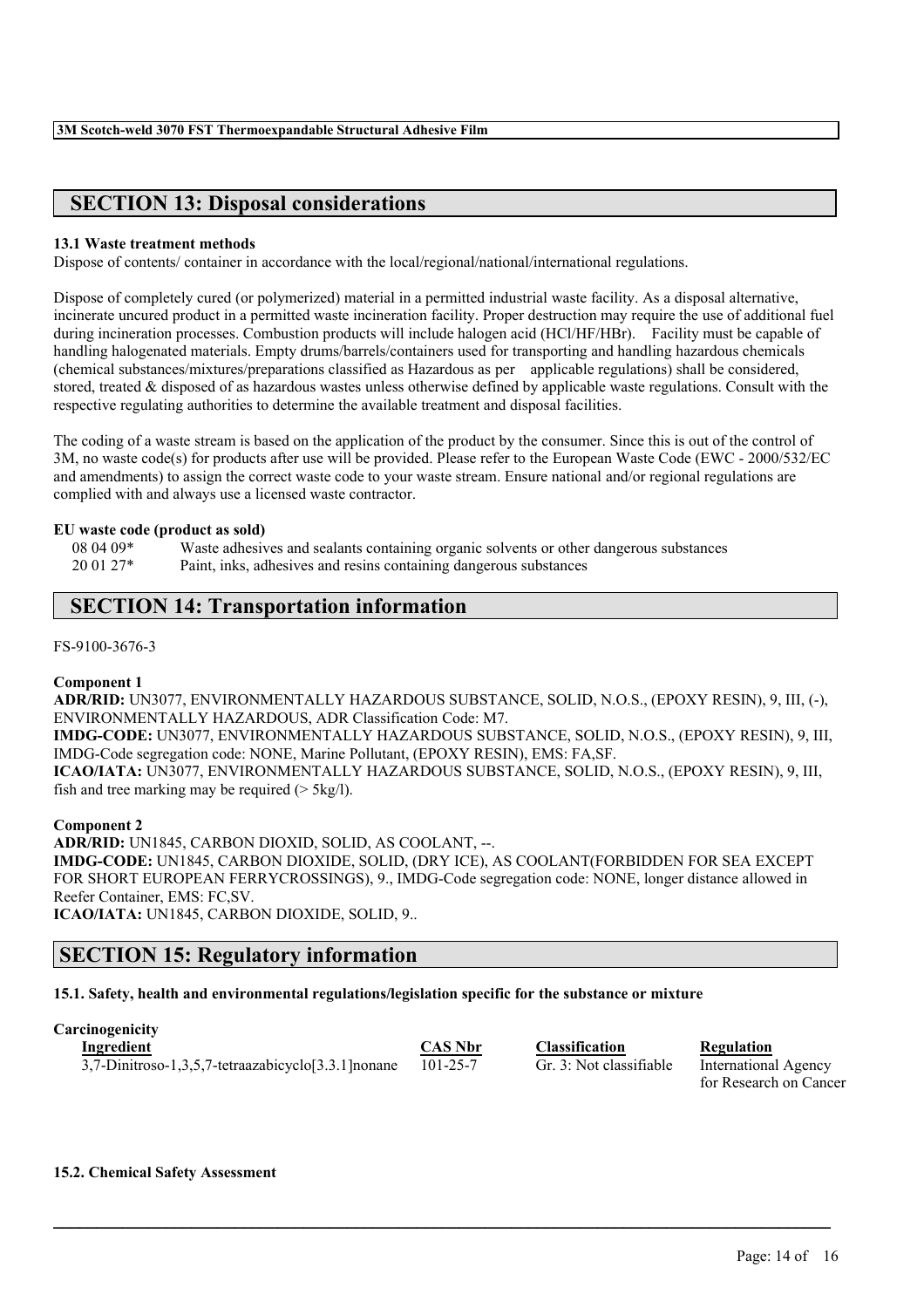# **SECTION 13: Disposal considerations**

### **13.1 Waste treatment methods**

Dispose of contents/ container in accordance with the local/regional/national/international regulations.

Dispose of completely cured (or polymerized) material in a permitted industrial waste facility. As a disposal alternative, incinerate uncured product in a permitted waste incineration facility. Proper destruction may require the use of additional fuel during incineration processes. Combustion products will include halogen acid (HCl/HF/HBr). Facility must be capable of handling halogenated materials. Empty drums/barrels/containers used for transporting and handling hazardous chemicals (chemical substances/mixtures/preparations classified as Hazardous as per applicable regulations) shall be considered, stored, treated & disposed of as hazardous wastes unless otherwise defined by applicable waste regulations. Consult with the respective regulating authorities to determine the available treatment and disposal facilities.

The coding of a waste stream is based on the application of the product by the consumer. Since this is out of the control of 3M, no waste code(s) for products after use will be provided. Please refer to the European Waste Code (EWC - 2000/532/EC and amendments) to assign the correct waste code to your waste stream. Ensure national and/or regional regulations are complied with and always use a licensed waste contractor.

### **EU waste code (product as sold)**

08 04 09\* Waste adhesives and sealants containing organic solvents or other dangerous substances 20 01 27\* Paint, inks, adhesives and resins containing dangerous substances

# **SECTION 14: Transportation information**

FS-9100-3676-3

### **Component 1**

**ADR/RID:** UN3077, ENVIRONMENTALLY HAZARDOUS SUBSTANCE, SOLID, N.O.S., (EPOXY RESIN), 9, III, (-), ENVIRONMENTALLY HAZARDOUS, ADR Classification Code: M7.

**IMDG-CODE:** UN3077, ENVIRONMENTALLY HAZARDOUS SUBSTANCE, SOLID, N.O.S., (EPOXY RESIN), 9, III, IMDG-Code segregation code: NONE, Marine Pollutant, (EPOXY RESIN), EMS: FA,SF.

**ICAO/IATA:** UN3077, ENVIRONMENTALLY HAZARDOUS SUBSTANCE, SOLID, N.O.S., (EPOXY RESIN), 9, III, fish and tree marking may be required  $($  > 5kg/l).

**Component 2**

**ADR/RID:** UN1845, CARBON DIOXID, SOLID, AS COOLANT, --. **IMDG-CODE:** UN1845, CARBON DIOXIDE, SOLID, (DRY ICE), AS COOLANT(FORBIDDEN FOR SEA EXCEPT FOR SHORT EUROPEAN FERRYCROSSINGS), 9., IMDG-Code segregation code: NONE, longer distance allowed in Reefer Container, EMS: FC,SV. **ICAO/IATA:** UN1845, CARBON DIOXIDE, SOLID, 9..

# **SECTION 15: Regulatory information**

**15.1. Safety, health and environmental regulations/legislation specific for the substance or mixture**

**Carcinogenicity**

**Ingredient CAS Nbr Classification Regulation** 3,7-Dinitroso-1,3,5,7-tetraazabicyclo[3.3.1]nonane 101-25-7 Gr. 3: Not classifiable International Agency

 $\mathcal{L}_\mathcal{L} = \mathcal{L}_\mathcal{L} = \mathcal{L}_\mathcal{L} = \mathcal{L}_\mathcal{L} = \mathcal{L}_\mathcal{L} = \mathcal{L}_\mathcal{L} = \mathcal{L}_\mathcal{L} = \mathcal{L}_\mathcal{L} = \mathcal{L}_\mathcal{L} = \mathcal{L}_\mathcal{L} = \mathcal{L}_\mathcal{L} = \mathcal{L}_\mathcal{L} = \mathcal{L}_\mathcal{L} = \mathcal{L}_\mathcal{L} = \mathcal{L}_\mathcal{L} = \mathcal{L}_\mathcal{L} = \mathcal{L}_\mathcal{L}$ 

for Research on Cancer

**15.2. Chemical Safety Assessment**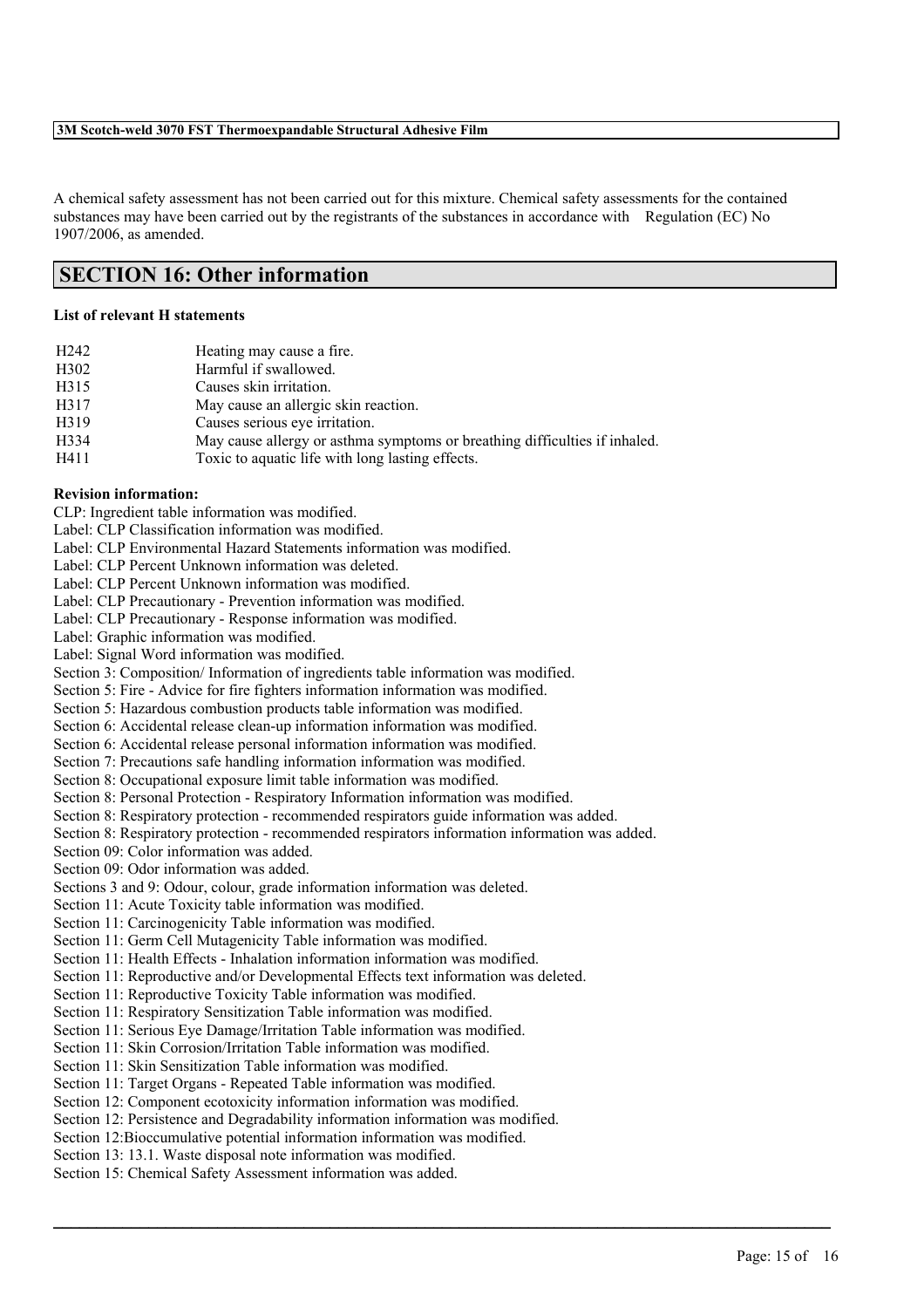A chemical safety assessment has not been carried out for this mixture. Chemical safety assessments for the contained substances may have been carried out by the registrants of the substances in accordance with Regulation (EC) No 1907/2006, as amended.

# **SECTION 16: Other information**

### **List of relevant H statements**

| H <sub>242</sub> | Heating may cause a fire.                                                  |
|------------------|----------------------------------------------------------------------------|
| H302             | Harmful if swallowed.                                                      |
| H315             | Causes skin irritation.                                                    |
| H317             | May cause an allergic skin reaction.                                       |
| H319             | Causes serious eye irritation.                                             |
| H334             | May cause allergy or asthma symptoms or breathing difficulties if inhaled. |
| H411             | Toxic to aquatic life with long lasting effects.                           |

### **Revision information:**

CLP: Ingredient table information was modified.

- Label: CLP Classification information was modified.
- Label: CLP Environmental Hazard Statements information was modified.

Label: CLP Percent Unknown information was deleted.

Label: CLP Percent Unknown information was modified.

Label: CLP Precautionary - Prevention information was modified.

Label: CLP Precautionary - Response information was modified.

Label: Graphic information was modified.

Label: Signal Word information was modified.

Section 3: Composition/ Information of ingredients table information was modified.

Section 5: Fire - Advice for fire fighters information information was modified.

Section 5: Hazardous combustion products table information was modified.

Section 6: Accidental release clean-up information information was modified.

Section 6: Accidental release personal information information was modified.

Section 7: Precautions safe handling information information was modified.

Section 8: Occupational exposure limit table information was modified.

Section 8: Personal Protection - Respiratory Information information was modified.

Section 8: Respiratory protection - recommended respirators guide information was added.

Section 8: Respiratory protection - recommended respirators information information was added.

Section 09: Color information was added.

Section 09: Odor information was added.

Sections 3 and 9: Odour, colour, grade information information was deleted.

Section 11: Acute Toxicity table information was modified.

Section 11: Carcinogenicity Table information was modified.

Section 11: Germ Cell Mutagenicity Table information was modified.

Section 11: Health Effects - Inhalation information information was modified.

Section 11: Reproductive and/or Developmental Effects text information was deleted.

Section 11: Reproductive Toxicity Table information was modified.

Section 11: Respiratory Sensitization Table information was modified.

Section 11: Serious Eye Damage/Irritation Table information was modified.

Section 11: Skin Corrosion/Irritation Table information was modified.

Section 11: Skin Sensitization Table information was modified.

Section 11: Target Organs - Repeated Table information was modified.

Section 12: Component ecotoxicity information information was modified.

Section 12: Persistence and Degradability information information was modified.

 $\mathcal{L}_\mathcal{L} = \mathcal{L}_\mathcal{L} = \mathcal{L}_\mathcal{L} = \mathcal{L}_\mathcal{L} = \mathcal{L}_\mathcal{L} = \mathcal{L}_\mathcal{L} = \mathcal{L}_\mathcal{L} = \mathcal{L}_\mathcal{L} = \mathcal{L}_\mathcal{L} = \mathcal{L}_\mathcal{L} = \mathcal{L}_\mathcal{L} = \mathcal{L}_\mathcal{L} = \mathcal{L}_\mathcal{L} = \mathcal{L}_\mathcal{L} = \mathcal{L}_\mathcal{L} = \mathcal{L}_\mathcal{L} = \mathcal{L}_\mathcal{L}$ 

Section 12:Bioccumulative potential information information was modified.

Section 13: 13.1. Waste disposal note information was modified.

Section 15: Chemical Safety Assessment information was added.